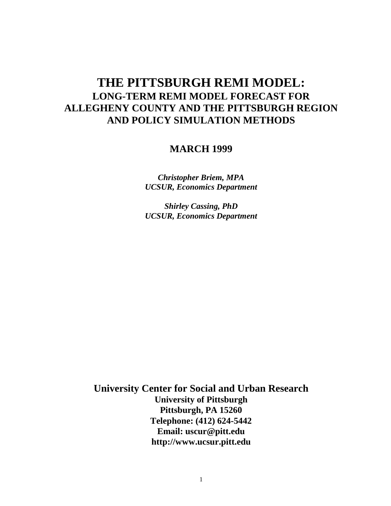# **THE PITTSBURGH REMI MODEL: LONG-TERM REMI MODEL FORECAST FOR ALLEGHENY COUNTY AND THE PITTSBURGH REGION AND POLICY SIMULATION METHODS**

## **MARCH 1999**

*Christopher Briem, MPA UCSUR, Economics Department*

*Shirley Cassing, PhD UCSUR, Economics Department*

**University Center for Social and Urban Research University of Pittsburgh Pittsburgh, PA 15260 Telephone: (412) 624-5442 Email: uscur@pitt.edu http://www.ucsur.pitt.edu**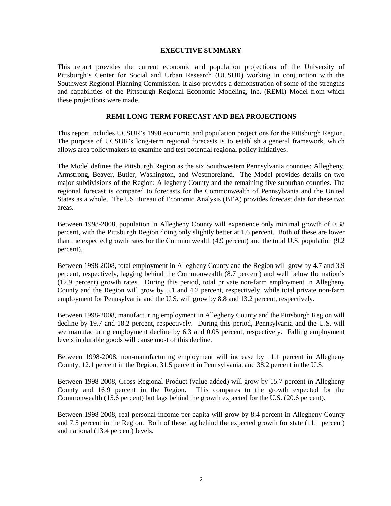#### **EXECUTIVE SUMMARY**

This report provides the current economic and population projections of the University of Pittsburgh's Center for Social and Urban Research (UCSUR) working in conjunction with the Southwest Regional Planning Commission. It also provides a demonstration of some of the strengths and capabilities of the Pittsburgh Regional Economic Modeling, Inc. (REMI) Model from which these projections were made.

#### **REMI LONG-TERM FORECAST AND BEA PROJECTIONS**

This report includes UCSUR's 1998 economic and population projections for the Pittsburgh Region. The purpose of UCSUR's long-term regional forecasts is to establish a general framework, which allows area policymakers to examine and test potential regional policy initiatives.

The Model defines the Pittsburgh Region as the six Southwestern Pennsylvania counties: Allegheny, Armstrong, Beaver, Butler, Washington, and Westmoreland. The Model provides details on two major subdivisions of the Region: Allegheny County and the remaining five suburban counties. The regional forecast is compared to forecasts for the Commonwealth of Pennsylvania and the United States as a whole. The US Bureau of Economic Analysis (BEA) provides forecast data for these two areas.

Between 1998-2008, population in Allegheny County will experience only minimal growth of 0.38 percent, with the Pittsburgh Region doing only slightly better at 1.6 percent. Both of these are lower than the expected growth rates for the Commonwealth (4.9 percent) and the total U.S. population (9.2 percent).

Between 1998-2008, total employment in Allegheny County and the Region will grow by 4.7 and 3.9 percent, respectively, lagging behind the Commonwealth (8.7 percent) and well below the nation's (12.9 percent) growth rates. During this period, total private non-farm employment in Allegheny County and the Region will grow by 5.1 and 4.2 percent, respectively, while total private non-farm employment for Pennsylvania and the U.S. will grow by 8.8 and 13.2 percent, respectively.

Between 1998-2008, manufacturing employment in Allegheny County and the Pittsburgh Region will decline by 19.7 and 18.2 percent, respectively. During this period, Pennsylvania and the U.S. will see manufacturing employment decline by 6.3 and 0.05 percent, respectively. Falling employment levels in durable goods will cause most of this decline.

Between 1998-2008, non-manufacturing employment will increase by 11.1 percent in Allegheny County, 12.1 percent in the Region, 31.5 percent in Pennsylvania, and 38.2 percent in the U.S.

Between 1998-2008, Gross Regional Product (value added) will grow by 15.7 percent in Allegheny County and 16.9 percent in the Region. This compares to the growth expected for the Commonwealth (15.6 percent) but lags behind the growth expected for the U.S. (20.6 percent).

Between 1998-2008, real personal income per capita will grow by 8.4 percent in Allegheny County and 7.5 percent in the Region. Both of these lag behind the expected growth for state (11.1 percent) and national (13.4 percent) levels.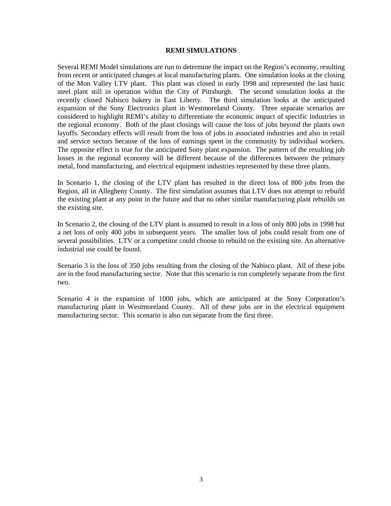#### **REMI SIMULATIONS**

Several REMI Model simulations are run to determine the impact on the Region's economy, resulting from recent or anticipated changes at local manufacturing plants. One simulation looks at the closing of the Mon Valley LTV plant. This plant was closed in early 1998 and represented the last basic steel plant still in operation within the City of Pittsburgh. The second simulation looks at the recently closed Nabisco bakery in East Liberty. The third simulation looks at the anticipated expansion of the Sony Electronics plant in Westmoreland County. Three separate scenarios are considered to highlight REMI's ability to differentiate the economic impact of specific industries in the regional economy. Both of the plant closings will cause the loss of jobs beyond the plants own layoffs. Secondary effects will result from the loss of jobs in associated industries and also in retail and service sectors because of the loss of earnings spent in the community by individual workers. The opposite effect is true for the anticipated Sony plant expansion. The pattern of the resulting job losses in the regional economy will be different because of the differences between the primary metal, food manufacturing, and electrical equipment industries represented by these three plants.

In Scenario 1, the closing of the LTV plant has resulted in the direct loss of 800 jobs from the Region, all in Allegheny County. The first simulation assumes that LTV does not attempt to rebuild the existing plant at any point in the future and that no other similar manufacturing plant rebuilds on the existing site.

In Scenario 2, the closing of the LTV plant is assumed to result in a loss of only 800 jobs in 1998 but a net loss of only 400 jobs in subsequent years. The smaller loss of jobs could result from one of several possibilities. LTV or a competitor could choose to rebuild on the existing site. An alternative industrial use could be found.

Scenario 3 is the loss of 350 jobs resulting from the closing of the Nabisco plant. All of these jobs are in the food manufacturing sector. Note that this scenario is run completely separate from the first two.

Scenario 4 is the expansion of 1000 jobs, which are anticipated at the Sony Corporation's manufacturing plant in Westmoreland County. All of these jobs are in the electrical equipment manufacturing sector. This scenario is also run separate from the first three.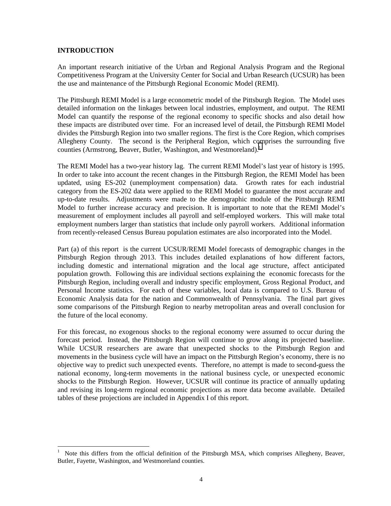#### **INTRODUCTION**

An important research initiative of the Urban and Regional Analysis Program and the Regional Competitiveness Program at the University Center for Social and Urban Research (UCSUR) has been the use and maintenance of the Pittsburgh Regional Economic Model (REMI).

The Pittsburgh REMI Model is a large econometric model of the Pittsburgh Region. The Model uses detailed information on the linkages between local industries, employment, and output. The REMI Model can quantify the response of the regional economy to specific shocks and also detail how these impacts are distributed over time. For an increased level of detail, the Pittsburgh REMI Model divides the Pittsburgh Region into two smaller regions. The first is the Core Region, which comprises Allegheny County. The second is the Peripheral Region, which comprises the surrounding five counties (Armstrong, Beaver, Butler, Washington, and Westmoreland).<sup>1</sup>

The REMI Model has a two-year history lag. The current REMI Model's last year of history is 1995. In order to take into account the recent changes in the Pittsburgh Region, the REMI Model has been updated, using ES-202 (unemployment compensation) data. Growth rates for each industrial category from the ES-202 data were applied to the REMI Model to guarantee the most accurate and up-to-date results. Adjustments were made to the demographic module of the Pittsburgh REMI Model to further increase accuracy and precision. It is important to note that the REMI Model's measurement of employment includes all payroll and self-employed workers. This will make total employment numbers larger than statistics that include only payroll workers. Additional information from recently-released Census Bureau population estimates are also incorporated into the Model.

Part (a) of this report is the current UCSUR/REMI Model forecasts of demographic changes in the Pittsburgh Region through 2013. This includes detailed explanations of how different factors, including domestic and international migration and the local age structure, affect anticipated population growth. Following this are individual sections explaining the economic forecasts for the Pittsburgh Region, including overall and industry specific employment, Gross Regional Product, and Personal Income statistics. For each of these variables, local data is compared to U.S. Bureau of Economic Analysis data for the nation and Commonwealth of Pennsylvania. The final part gives some comparisons of the Pittsburgh Region to nearby metropolitan areas and overall conclusion for the future of the local economy.

For this forecast, no exogenous shocks to the regional economy were assumed to occur during the forecast period. Instead, the Pittsburgh Region will continue to grow along its projected baseline. While UCSUR researchers are aware that unexpected shocks to the Pittsburgh Region and movements in the business cycle will have an impact on the Pittsburgh Region's economy, there is no objective way to predict such unexpected events. Therefore, no attempt is made to second-guess the national economy, long-term movements in the national business cycle, or unexpected economic shocks to the Pittsburgh Region. However, UCSUR will continue its practice of annually updating and revising its long-term regional economic projections as more data become available. Detailed tables of these projections are included in Appendix I of this report.

<sup>1</sup> Note this differs from the official definition of the Pittsburgh MSA, which comprises Allegheny, Beaver, Butler, Fayette, Washington, and Westmoreland counties.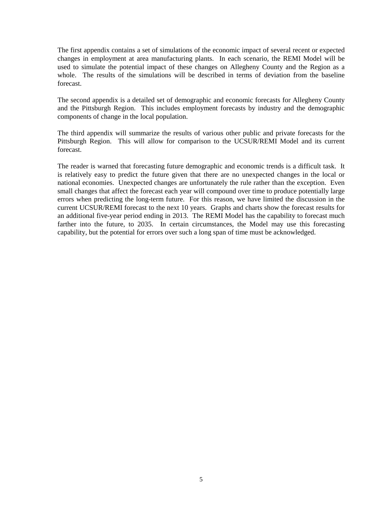The first appendix contains a set of simulations of the economic impact of several recent or expected changes in employment at area manufacturing plants. In each scenario, the REMI Model will be used to simulate the potential impact of these changes on Allegheny County and the Region as a whole. The results of the simulations will be described in terms of deviation from the baseline forecast.

The second appendix is a detailed set of demographic and economic forecasts for Allegheny County and the Pittsburgh Region. This includes employment forecasts by industry and the demographic components of change in the local population.

The third appendix will summarize the results of various other public and private forecasts for the Pittsburgh Region. This will allow for comparison to the UCSUR/REMI Model and its current forecast.

The reader is warned that forecasting future demographic and economic trends is a difficult task. It is relatively easy to predict the future given that there are no unexpected changes in the local or national economies. Unexpected changes are unfortunately the rule rather than the exception. Even small changes that affect the forecast each year will compound over time to produce potentially large errors when predicting the long-term future. For this reason, we have limited the discussion in the current UCSUR/REMI forecast to the next 10 years. Graphs and charts show the forecast results for an additional five-year period ending in 2013. The REMI Model has the capability to forecast much farther into the future, to 2035. In certain circumstances, the Model may use this forecasting capability, but the potential for errors over such a long span of time must be acknowledged.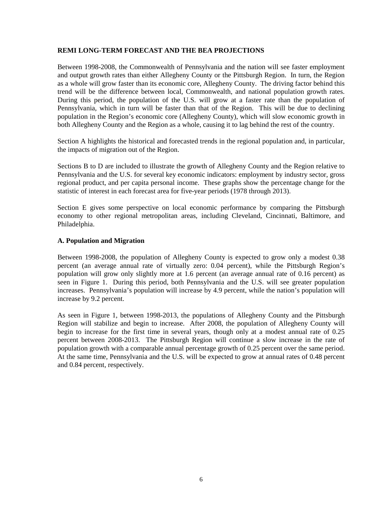#### **REMI LONG-TERM FORECAST AND THE BEA PROJECTIONS**

Between 1998-2008, the Commonwealth of Pennsylvania and the nation will see faster employment and output growth rates than either Allegheny County or the Pittsburgh Region. In turn, the Region as a whole will grow faster than its economic core, Allegheny County. The driving factor behind this trend will be the difference between local, Commonwealth, and national population growth rates. During this period, the population of the U.S. will grow at a faster rate than the population of Pennsylvania, which in turn will be faster than that of the Region. This will be due to declining population in the Region's economic core (Allegheny County), which will slow economic growth in both Allegheny County and the Region as a whole, causing it to lag behind the rest of the country.

Section A highlights the historical and forecasted trends in the regional population and, in particular, the impacts of migration out of the Region.

Sections B to D are included to illustrate the growth of Allegheny County and the Region relative to Pennsylvania and the U.S. for several key economic indicators: employment by industry sector, gross regional product, and per capita personal income. These graphs show the percentage change for the statistic of interest in each forecast area for five-year periods (1978 through 2013).

Section E gives some perspective on local economic performance by comparing the Pittsburgh economy to other regional metropolitan areas, including Cleveland, Cincinnati, Baltimore, and Philadelphia.

#### **A. Population and Migration**

Between 1998-2008, the population of Allegheny County is expected to grow only a modest 0.38 percent (an average annual rate of virtually zero: 0.04 percent), while the Pittsburgh Region's population will grow only slightly more at 1.6 percent (an average annual rate of 0.16 percent) as seen in Figure 1. During this period, both Pennsylvania and the U.S. will see greater population increases. Pennsylvania's population will increase by 4.9 percent, while the nation's population will increase by 9.2 percent.

As seen in Figure 1, between 1998-2013, the populations of Allegheny County and the Pittsburgh Region will stabilize and begin to increase. After 2008, the population of Allegheny County will begin to increase for the first time in several years, though only at a modest annual rate of 0.25 percent between 2008-2013. The Pittsburgh Region will continue a slow increase in the rate of population growth with a comparable annual percentage growth of 0.25 percent over the same period. At the same time, Pennsylvania and the U.S. will be expected to grow at annual rates of 0.48 percent and 0.84 percent, respectively.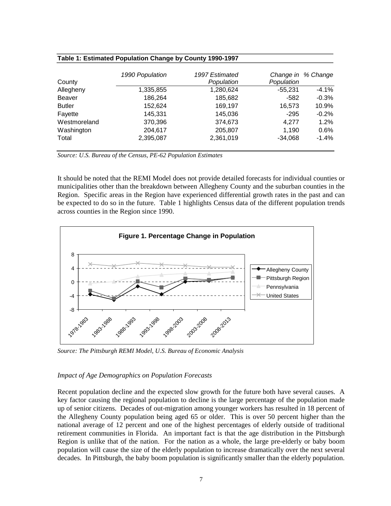| County        | 1990 Population | 1997 Estimated<br>Population | Population | Change in % Change |
|---------------|-----------------|------------------------------|------------|--------------------|
| Allegheny     | 1,335,855       | 1,280,624                    | $-55,231$  | $-4.1%$            |
| Beaver        | 186,264         | 185,682                      | -582       | $-0.3%$            |
| <b>Butler</b> | 152,624         | 169,197                      | 16,573     | 10.9%              |
| Fayette       | 145,331         | 145,036                      | $-295$     | $-0.2\%$           |
| Westmoreland  | 370,396         | 374,673                      | 4.277      | 1.2%               |
| Washington    | 204,617         | 205,807                      | 1,190      | $0.6\%$            |
| Total         | 2,395,087       | 2,361,019                    | $-34,068$  | $-1.4%$            |

#### **Table 1: Estimated Population Change by County 1990-1997**

*Source: U.S. Bureau of the Census, PE-62 Population Estimates*

It should be noted that the REMI Model does not provide detailed forecasts for individual counties or municipalities other than the breakdown between Allegheny County and the suburban counties in the Region. Specific areas in the Region have experienced differential growth rates in the past and can be expected to do so in the future. Table 1 highlights Census data of the different population trends across counties in the Region since 1990.



*Source: The Pittsburgh REMI Model, U.S. Bureau of Economic Analysis*

#### *Impact of Age Demographics on Population Forecasts*

Recent population decline and the expected slow growth for the future both have several causes. A key factor causing the regional population to decline is the large percentage of the population made up of senior citizens. Decades of out-migration among younger workers has resulted in 18 percent of the Allegheny County population being aged 65 or older. This is over 50 percent higher than the national average of 12 percent and one of the highest percentages of elderly outside of traditional retirement communities in Florida. An important fact is that the age distribution in the Pittsburgh Region is unlike that of the nation. For the nation as a whole, the large pre-elderly or baby boom population will cause the size of the elderly population to increase dramatically over the next several decades. In Pittsburgh, the baby boom population is significantly smaller than the elderly population.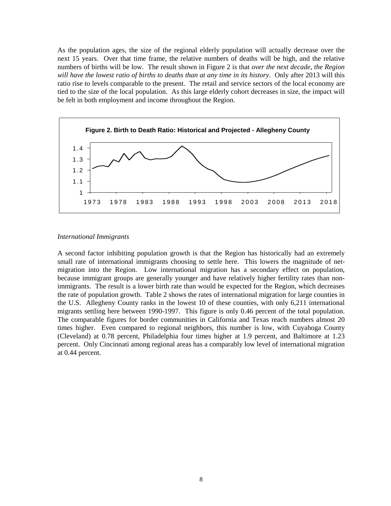As the population ages, the size of the regional elderly population will actually decrease over the next 15 years. Over that time frame, the relative numbers of deaths will be high, and the relative numbers of births will be low. The result shown in Figure 2 is that *over the next decade, the Region will have the lowest ratio of births to deaths than at any time in its history*. Only after 2013 will this ratio rise to levels comparable to the present. The retail and service sectors of the local economy are tied to the size of the local population. As this large elderly cohort decreases in size, the impact will be felt in both employment and income throughout the Region.



#### *International Immigrants*

A second factor inhibiting population growth is that the Region has historically had an extremely small rate of international immigrants choosing to settle here. This lowers the magnitude of netmigration into the Region. Low international migration has a secondary effect on population, because immigrant groups are generally younger and have relatively higher fertility rates than nonimmigrants. The result is a lower birth rate than would be expected for the Region, which decreases the rate of population growth. Table 2 shows the rates of international migration for large counties in the U.S. Allegheny County ranks in the lowest 10 of these counties, with only 6,211 international migrants settling here between 1990-1997. This figure is only 0.46 percent of the total population. The comparable figures for border communities in California and Texas reach numbers almost 20 times higher. Even compared to regional neighbors, this number is low, with Cuyahoga County (Cleveland) at 0.78 percent, Philadelphia four times higher at 1.9 percent, and Baltimore at 1.23 percent. Only Cincinnati among regional areas has a comparably low level of international migration at 0.44 percent.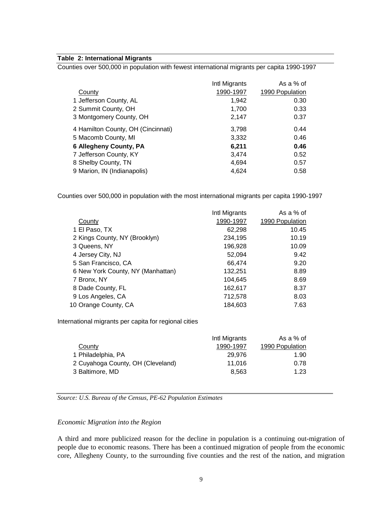#### **Table 2: International Migrants**

Counties over 500,000 in population with fewest international migrants per capita 1990-1997

|                                    | Intl Migrants | As a % of       |
|------------------------------------|---------------|-----------------|
| County                             | 1990-1997     | 1990 Population |
| 1 Jefferson County, AL             | 1,942         | 0.30            |
| 2 Summit County, OH                | 1,700         | 0.33            |
| 3 Montgomery County, OH            | 2,147         | 0.37            |
| 4 Hamilton County, OH (Cincinnati) | 3,798         | 0.44            |
| 5 Macomb County, MI                | 3,332         | 0.46            |
| <b>6 Allegheny County, PA</b>      | 6,211         | 0.46            |
| 7 Jefferson County, KY             | 3,474         | 0.52            |
| 8 Shelby County, TN                | 4,694         | 0.57            |
| 9 Marion, IN (Indianapolis)        | 4,624         | 0.58            |

Counties over 500,000 in population with the most international migrants per capita 1990-1997

|                                   | Intl Migrants | As a % of       |
|-----------------------------------|---------------|-----------------|
| County                            | 1990-1997     | 1990 Population |
| 1 El Paso, TX                     | 62,298        | 10.45           |
| 2 Kings County, NY (Brooklyn)     | 234,195       | 10.19           |
| 3 Queens, NY                      | 196,928       | 10.09           |
| 4 Jersey City, NJ                 | 52,094        | 9.42            |
| 5 San Francisco, CA               | 66,474        | 9.20            |
| 6 New York County, NY (Manhattan) | 132,251       | 8.89            |
| 7 Bronx, NY                       | 104,645       | 8.69            |
| 8 Dade County, FL                 | 162,617       | 8.37            |
| 9 Los Angeles, CA                 | 712,578       | 8.03            |
| 10 Orange County, CA              | 184,603       | 7.63            |

International migrants per capita for regional cities

|                                   | Intl Migrants | As a % of       |
|-----------------------------------|---------------|-----------------|
| County                            | 1990-1997     | 1990 Population |
| 1 Philadelphia, PA                | 29.976        | 1.90            |
| 2 Cuyahoga County, OH (Cleveland) | 11.016        | 0.78            |
| 3 Baltimore, MD                   | 8.563         | 1.23            |

*Source: U.S. Bureau of the Census, PE-62 Population Estimates*

#### *Economic Migration into the Region*

A third and more publicized reason for the decline in population is a continuing out-migration of people due to economic reasons. There has been a continued migration of people from the economic core, Allegheny County, to the surrounding five counties and the rest of the nation, and migration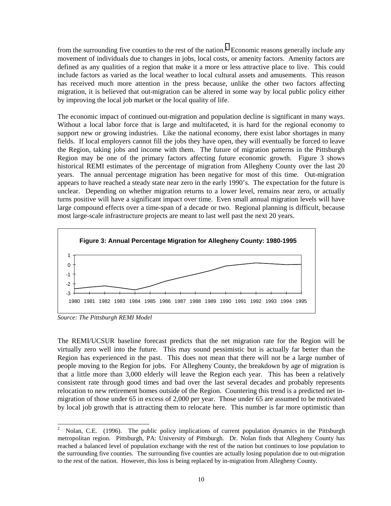from the surrounding five counties to the rest of the nation.<sup>2</sup> Economic reasons generally include any movement of individuals due to changes in jobs, local costs, or amenity factors. Amenity factors are defined as any qualities of a region that make it a more or less attractive place to live. This could include factors as varied as the local weather to local cultural assets and amusements. This reason has received much more attention in the press because, unlike the other two factors affecting migration, it is believed that out-migration can be altered in some way by local public policy either by improving the local job market or the local quality of life.

The economic impact of continued out-migration and population decline is significant in many ways. Without a local labor force that is large and multifaceted, it is hard for the regional economy to support new or growing industries. Like the national economy, there exist labor shortages in many fields. If local employers cannot fill the jobs they have open, they will eventually be forced to leave the Region, taking jobs and income with them. The future of migration patterns in the Pittsburgh Region may be one of the primary factors affecting future economic growth. Figure 3 shows historical REMI estimates of the percentage of migration from Allegheny County over the last 20 years. The annual percentage migration has been negative for most of this time. Out-migration appears to have reached a steady state near zero in the early 1990's. The expectation for the future is unclear. Depending on whether migration returns to a lower level, remains near zero, or actually turns positive will have a significant impact over time. Even small annual migration levels will have large compound effects over a time-span of a decade or two. Regional planning is difficult, because most large-scale infrastructure projects are meant to last well past the next 20 years.



*Source: The Pittsburgh REMI Model*

The REMI/UCSUR baseline forecast predicts that the net migration rate for the Region will be virtually zero well into the future. This may sound pessimistic but is actually far better than the Region has experienced in the past. This does not mean that there will not be a large number of people moving to the Region for jobs. For Allegheny County, the breakdown by age of migration is that a little more than 3,000 elderly will leave the Region each year. This has been a relatively consistent rate through good times and bad over the last several decades and probably represents relocation to new retirement homes outside of the Region. Countering this trend is a predicted net inmigration of those under 65 in excess of 2,000 per year. Those under 65 are assumed to be motivated by local job growth that is attracting them to relocate here. This number is far more optimistic than

<sup>2</sup> Nolan, C.E. (1996). The public policy implications of current population dynamics in the Pittsburgh metropolitan region. Pittsburgh, PA: University of Pittsburgh. Dr. Nolan finds that Allegheny County has reached a balanced level of population exchange with the rest of the nation but continues to lose population to the surrounding five counties. The surrounding five counties are actually losing population due to out-migration to the rest of the nation. However, this loss is being replaced by in-migration from Allegheny County.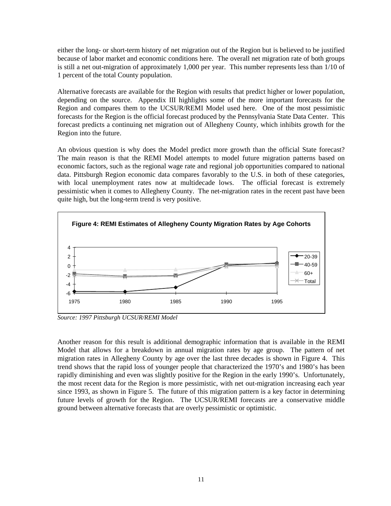either the long- or short-term history of net migration out of the Region but is believed to be justified because of labor market and economic conditions here. The overall net migration rate of both groups is still a net out-migration of approximately 1,000 per year. This number represents less than 1/10 of 1 percent of the total County population.

Alternative forecasts are available for the Region with results that predict higher or lower population, depending on the source. Appendix III highlights some of the more important forecasts for the Region and compares them to the UCSUR/REMI Model used here. One of the most pessimistic forecasts for the Region is the official forecast produced by the Pennsylvania State Data Center. This forecast predicts a continuing net migration out of Allegheny County, which inhibits growth for the Region into the future.

An obvious question is why does the Model predict more growth than the official State forecast? The main reason is that the REMI Model attempts to model future migration patterns based on economic factors, such as the regional wage rate and regional job opportunities compared to national data. Pittsburgh Region economic data compares favorably to the U.S. in both of these categories, with local unemployment rates now at multidecade lows. The official forecast is extremely pessimistic when it comes to Allegheny County. The net-migration rates in the recent past have been quite high, but the long-term trend is very positive.



*Source: 1997 Pittsburgh UCSUR/REMI Model*

Another reason for this result is additional demographic information that is available in the REMI Model that allows for a breakdown in annual migration rates by age group. The pattern of net migration rates in Allegheny County by age over the last three decades is shown in Figure 4. This trend shows that the rapid loss of younger people that characterized the 1970's and 1980's has been rapidly diminishing and even was slightly positive for the Region in the early 1990's. Unfortunately, the most recent data for the Region is more pessimistic, with net out-migration increasing each year since 1993, as shown in Figure 5. The future of this migration pattern is a key factor in determining future levels of growth for the Region. The UCSUR/REMI forecasts are a conservative middle ground between alternative forecasts that are overly pessimistic or optimistic.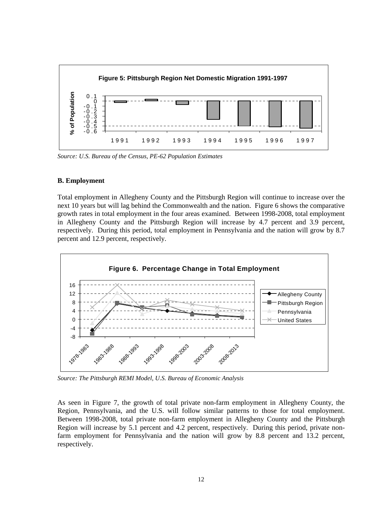

*Source: U.S. Bureau of the Census, PE-62 Population Estimates*

#### **B. Employment**

Total employment in Allegheny County and the Pittsburgh Region will continue to increase over the next 10 years but will lag behind the Commonwealth and the nation. Figure 6 shows the comparative growth rates in total employment in the four areas examined. Between 1998-2008, total employment in Allegheny County and the Pittsburgh Region will increase by 4.7 percent and 3.9 percent, respectively. During this period, total employment in Pennsylvania and the nation will grow by 8.7 percent and 12.9 percent, respectively.



*Source: The Pittsburgh REMI Model, U.S. Bureau of Economic Analysis*

As seen in Figure 7, the growth of total private non-farm employment in Allegheny County, the Region, Pennsylvania, and the U.S. will follow similar patterns to those for total employment. Between 1998-2008, total private non-farm employment in Allegheny County and the Pittsburgh Region will increase by 5.1 percent and 4.2 percent, respectively. During this period, private nonfarm employment for Pennsylvania and the nation will grow by 8.8 percent and 13.2 percent, respectively.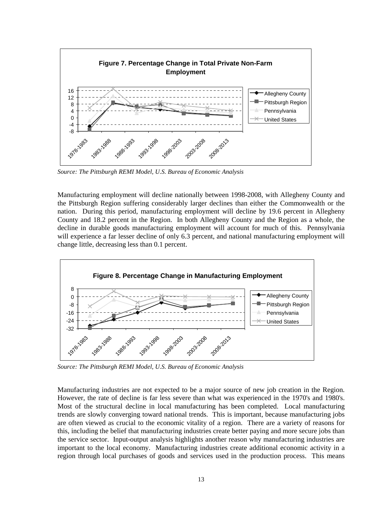

*Source: The Pittsburgh REMI Model, U.S. Bureau of Economic Analysis*

Manufacturing employment will decline nationally between 1998-2008, with Allegheny County and the Pittsburgh Region suffering considerably larger declines than either the Commonwealth or the nation. During this period, manufacturing employment will decline by 19.6 percent in Allegheny County and 18.2 percent in the Region. In both Allegheny County and the Region as a whole, the decline in durable goods manufacturing employment will account for much of this. Pennsylvania will experience a far lesser decline of only 6.3 percent, and national manufacturing employment will change little, decreasing less than 0.1 percent.



*Source: The Pittsburgh REMI Model, U.S. Bureau of Economic Analysis*

Manufacturing industries are not expected to be a major source of new job creation in the Region. However, the rate of decline is far less severe than what was experienced in the 1970's and 1980's. Most of the structural decline in local manufacturing has been completed. Local manufacturing trends are slowly converging toward national trends. This is important, because manufacturing jobs are often viewed as crucial to the economic vitality of a region. There are a variety of reasons for this, including the belief that manufacturing industries create better paying and more secure jobs than the service sector. Input-output analysis highlights another reason why manufacturing industries are important to the local economy. Manufacturing industries create additional economic activity in a region through local purchases of goods and services used in the production process. This means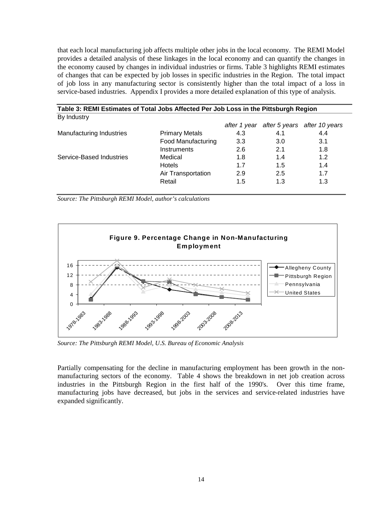that each local manufacturing job affects multiple other jobs in the local economy. The REMI Model provides a detailed analysis of these linkages in the local economy and can quantify the changes in the economy caused by changes in individual industries or firms. Table 3 highlights REMI estimates of changes that can be expected by job losses in specific industries in the Region. The total impact of job loss in any manufacturing sector is consistently higher than the total impact of a loss in service-based industries. Appendix I provides a more detailed explanation of this type of analysis.

| Table 3: REMI Estimates of Total Jobs Affected Per Job Loss in the Pittsburgh Region |                           |     |     |                                           |  |  |  |  |  |
|--------------------------------------------------------------------------------------|---------------------------|-----|-----|-------------------------------------------|--|--|--|--|--|
| By Industry                                                                          |                           |     |     |                                           |  |  |  |  |  |
|                                                                                      |                           |     |     | after 1 year after 5 years after 10 years |  |  |  |  |  |
| Manufacturing Industries                                                             | <b>Primary Metals</b>     | 4.3 | 4.1 | 4.4                                       |  |  |  |  |  |
|                                                                                      | <b>Food Manufacturing</b> | 3.3 | 3.0 | 3.1                                       |  |  |  |  |  |
|                                                                                      | <b>Instruments</b>        | 2.6 | 2.1 | 1.8                                       |  |  |  |  |  |
| Service-Based Industries                                                             | Medical                   | 1.8 | 1.4 | 1.2                                       |  |  |  |  |  |
|                                                                                      | <b>Hotels</b>             | 1.7 | 1.5 | 1.4                                       |  |  |  |  |  |
|                                                                                      | Air Transportation        | 2.9 | 2.5 | 1.7                                       |  |  |  |  |  |
|                                                                                      | Retail                    | 1.5 | 1.3 | 1.3                                       |  |  |  |  |  |

*Source: The Pittsburgh REMI Model, author's calculations*



*Source: The Pittsburgh REMI Model, U.S. Bureau of Economic Analysis*

Partially compensating for the decline in manufacturing employment has been growth in the nonmanufacturing sectors of the economy. Table 4 shows the breakdown in net job creation across industries in the Pittsburgh Region in the first half of the 1990's. Over this time frame, manufacturing jobs have decreased, but jobs in the services and service-related industries have expanded significantly.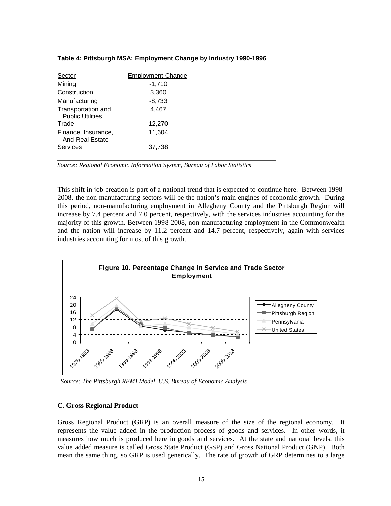#### **Table 4: Pittsburgh MSA: Employment Change by Industry 1990-1996**

| Sector                                        | <b>Employment Change</b> |
|-----------------------------------------------|--------------------------|
| Mining                                        | $-1,710$                 |
| Construction                                  | 3,360                    |
| Manufacturing                                 | $-8,733$                 |
| Transportation and<br><b>Public Utilities</b> | 4,467                    |
| Trade                                         | 12,270                   |
| Finance, Insurance,<br>And Real Estate        | 11,604                   |
| Services                                      | 37,738                   |

*Source: Regional Economic Information System, Bureau of Labor Statistics*

This shift in job creation is part of a national trend that is expected to continue here. Between 1998- 2008, the non-manufacturing sectors will be the nation's main engines of economic growth. During this period, non-manufacturing employment in Allegheny County and the Pittsburgh Region will increase by 7.4 percent and 7.0 percent, respectively, with the services industries accounting for the majority of this growth. Between 1998-2008, non-manufacturing employment in the Commonwealth and the nation will increase by 11.2 percent and 14.7 percent, respectively, again with services industries accounting for most of this growth.



*Source: The Pittsburgh REMI Model, U.S. Bureau of Economic Analysis*

#### **C. Gross Regional Product**

Gross Regional Product (GRP) is an overall measure of the size of the regional economy. It represents the value added in the production process of goods and services. In other words, it measures how much is produced here in goods and services. At the state and national levels, this value added measure is called Gross State Product (GSP) and Gross National Product (GNP). Both mean the same thing, so GRP is used generically. The rate of growth of GRP determines to a large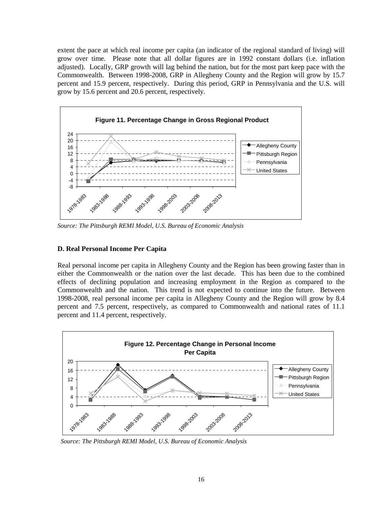extent the pace at which real income per capita (an indicator of the regional standard of living) will grow over time. Please note that all dollar figures are in 1992 constant dollars (i.e. inflation adjusted). Locally, GRP growth will lag behind the nation, but for the most part keep pace with the Commonwealth. Between 1998-2008, GRP in Allegheny County and the Region will grow by 15.7 percent and 15.9 percent, respectively. During this period, GRP in Pennsylvania and the U.S. will grow by 15.6 percent and 20.6 percent, respectively.



*Source: The Pittsburgh REMI Model, U.S. Bureau of Economic Analysis*

### **D. Real Personal Income Per Capita**

Real personal income per capita in Allegheny County and the Region has been growing faster than in either the Commonwealth or the nation over the last decade. This has been due to the combined effects of declining population and increasing employment in the Region as compared to the Commonwealth and the nation. This trend is not expected to continue into the future. Between 1998-2008, real personal income per capita in Allegheny County and the Region will grow by 8.4 percent and 7.5 percent, respectively, as compared to Commonwealth and national rates of 11.1 percent and 11.4 percent, respectively.



*Source: The Pittsburgh REMI Model, U.S. Bureau of Economic Analysis*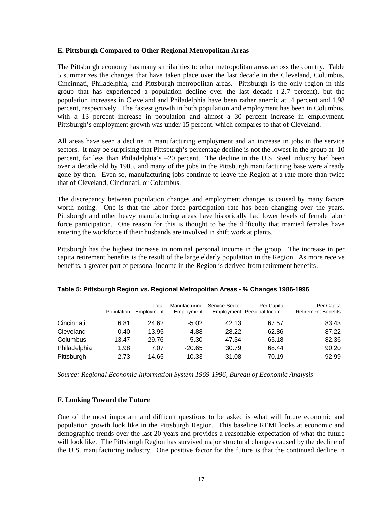#### **E. Pittsburgh Compared to Other Regional Metropolitan Areas**

The Pittsburgh economy has many similarities to other metropolitan areas across the country. Table 5 summarizes the changes that have taken place over the last decade in the Cleveland, Columbus, Cincinnati, Philadelphia, and Pittsburgh metropolitan areas. Pittsburgh is the only region in this group that has experienced a population decline over the last decade (-2.7 percent), but the population increases in Cleveland and Philadelphia have been rather anemic at .4 percent and 1.98 percent, respectively. The fastest growth in both population and employment has been in Columbus, with a 13 percent increase in population and almost a 30 percent increase in employment. Pittsburgh's employment growth was under 15 percent, which compares to that of Cleveland.

All areas have seen a decline in manufacturing employment and an increase in jobs in the service sectors. It may be surprising that Pittsburgh's percentage decline is not the lowest in the group at -10 percent, far less than Philadelphia's –20 percent. The decline in the U.S. Steel industry had been over a decade old by 1985, and many of the jobs in the Pittsburgh manufacturing base were already gone by then. Even so, manufacturing jobs continue to leave the Region at a rate more than twice that of Cleveland, Cincinnati, or Columbus.

The discrepancy between population changes and employment changes is caused by many factors worth noting. One is that the labor force participation rate has been changing over the years. Pittsburgh and other heavy manufacturing areas have historically had lower levels of female labor force participation. One reason for this is thought to be the difficulty that married females have entering the workforce if their husbands are involved in shift work at plants.

Pittsburgh has the highest increase in nominal personal income in the group. The increase in per capita retirement benefits is the result of the large elderly population in the Region. As more receive benefits, a greater part of personal income in the Region is derived from retirement benefits.

|              | Population | Total<br>Employment | Manufacturing<br>Employment | <b>Service Sector</b> | Per Capita<br>Employment Personal Income | Per Capita<br><b>Retirement Benefits</b> |
|--------------|------------|---------------------|-----------------------------|-----------------------|------------------------------------------|------------------------------------------|
| Cincinnati   | 6.81       | 24.62               | $-5.02$                     | 42.13                 | 67.57                                    | 83.43                                    |
| Cleveland    | 0.40       | 13.95               | $-4.88$                     | 28.22                 | 62.86                                    | 87.22                                    |
| Columbus     | 13.47      | 29.76               | $-5.30$                     | 47.34                 | 65.18                                    | 82.36                                    |
| Philadelphia | 1.98       | 7.07                | $-20.65$                    | 30.79                 | 68.44                                    | 90.20                                    |
| Pittsburgh   | $-2.73$    | 14.65               | $-10.33$                    | 31.08                 | 70.19                                    | 92.99                                    |

#### **Table 5: Pittsburgh Region vs. Regional Metropolitan Areas - % Changes 1986-1996**

*Source: Regional Economic Information System 1969-1996, Bureau of Economic Analysis*

#### **F. Looking Toward the Future**

One of the most important and difficult questions to be asked is what will future economic and population growth look like in the Pittsburgh Region. This baseline REMI looks at economic and demographic trends over the last 20 years and provides a reasonable expectation of what the future will look like. The Pittsburgh Region has survived major structural changes caused by the decline of the U.S. manufacturing industry. One positive factor for the future is that the continued decline in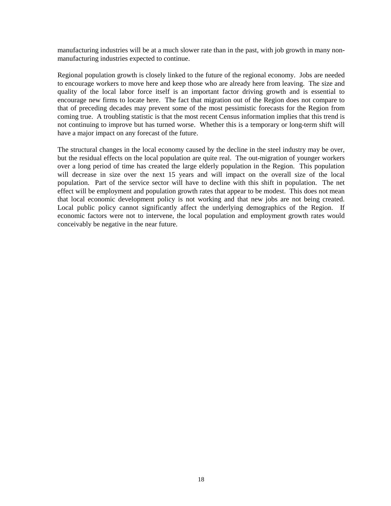manufacturing industries will be at a much slower rate than in the past, with job growth in many nonmanufacturing industries expected to continue.

Regional population growth is closely linked to the future of the regional economy. Jobs are needed to encourage workers to move here and keep those who are already here from leaving. The size and quality of the local labor force itself is an important factor driving growth and is essential to encourage new firms to locate here. The fact that migration out of the Region does not compare to that of preceding decades may prevent some of the most pessimistic forecasts for the Region from coming true. A troubling statistic is that the most recent Census information implies that this trend is not continuing to improve but has turned worse. Whether this is a temporary or long-term shift will have a major impact on any forecast of the future.

The structural changes in the local economy caused by the decline in the steel industry may be over, but the residual effects on the local population are quite real. The out-migration of younger workers over a long period of time has created the large elderly population in the Region. This population will decrease in size over the next 15 years and will impact on the overall size of the local population. Part of the service sector will have to decline with this shift in population. The net effect will be employment and population growth rates that appear to be modest. This does not mean that local economic development policy is not working and that new jobs are not being created. Local public policy cannot significantly affect the underlying demographics of the Region. If economic factors were not to intervene, the local population and employment growth rates would conceivably be negative in the near future.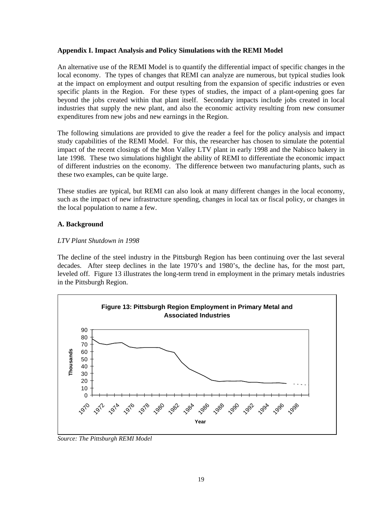#### **Appendix I. Impact Analysis and Policy Simulations with the REMI Model**

An alternative use of the REMI Model is to quantify the differential impact of specific changes in the local economy. The types of changes that REMI can analyze are numerous, but typical studies look at the impact on employment and output resulting from the expansion of specific industries or even specific plants in the Region. For these types of studies, the impact of a plant-opening goes far beyond the jobs created within that plant itself. Secondary impacts include jobs created in local industries that supply the new plant, and also the economic activity resulting from new consumer expenditures from new jobs and new earnings in the Region.

The following simulations are provided to give the reader a feel for the policy analysis and impact study capabilities of the REMI Model. For this, the researcher has chosen to simulate the potential impact of the recent closings of the Mon Valley LTV plant in early 1998 and the Nabisco bakery in late 1998. These two simulations highlight the ability of REMI to differentiate the economic impact of different industries on the economy. The difference between two manufacturing plants, such as these two examples, can be quite large.

These studies are typical, but REMI can also look at many different changes in the local economy, such as the impact of new infrastructure spending, changes in local tax or fiscal policy, or changes in the local population to name a few.

#### **A. Background**

#### *LTV Plant Shutdown in 1998*

The decline of the steel industry in the Pittsburgh Region has been continuing over the last several decades. After steep declines in the late 1970's and 1980's, the decline has, for the most part, leveled off. Figure 13 illustrates the long-term trend in employment in the primary metals industries in the Pittsburgh Region.



*Source: The Pittsburgh REMI Model*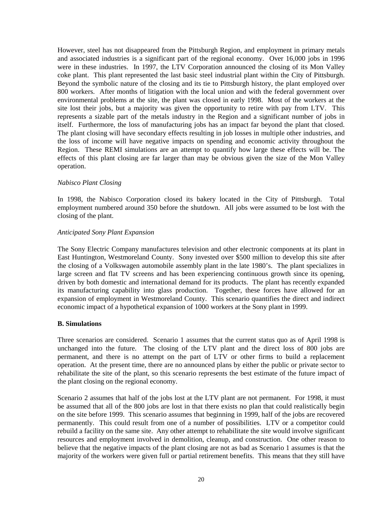However, steel has not disappeared from the Pittsburgh Region, and employment in primary metals and associated industries is a significant part of the regional economy. Over 16,000 jobs in 1996 were in these industries. In 1997, the LTV Corporation announced the closing of its Mon Valley coke plant. This plant represented the last basic steel industrial plant within the City of Pittsburgh. Beyond the symbolic nature of the closing and its tie to Pittsburgh history, the plant employed over 800 workers. After months of litigation with the local union and with the federal government over environmental problems at the site, the plant was closed in early 1998. Most of the workers at the site lost their jobs, but a majority was given the opportunity to retire with pay from LTV. This represents a sizable part of the metals industry in the Region and a significant number of jobs in itself. Furthermore, the loss of manufacturing jobs has an impact far beyond the plant that closed. The plant closing will have secondary effects resulting in job losses in multiple other industries, and the loss of income will have negative impacts on spending and economic activity throughout the Region. These REMI simulations are an attempt to quantify how large these effects will be. The effects of this plant closing are far larger than may be obvious given the size of the Mon Valley operation.

#### *Nabisco Plant Closing*

In 1998, the Nabisco Corporation closed its bakery located in the City of Pittsburgh. Total employment numbered around 350 before the shutdown. All jobs were assumed to be lost with the closing of the plant.

#### *Anticipated Sony Plant Expansion*

The Sony Electric Company manufactures television and other electronic components at its plant in East Huntington, Westmoreland County. Sony invested over \$500 million to develop this site after the closing of a Volkswagen automobile assembly plant in the late 1980's. The plant specializes in large screen and flat TV screens and has been experiencing continuous growth since its opening, driven by both domestic and international demand for its products. The plant has recently expanded its manufacturing capability into glass production. Together, these forces have allowed for an expansion of employment in Westmoreland County. This scenario quantifies the direct and indirect economic impact of a hypothetical expansion of 1000 workers at the Sony plant in 1999.

#### **B. Simulations**

Three scenarios are considered. Scenario 1 assumes that the current status quo as of April 1998 is unchanged into the future. The closing of the LTV plant and the direct loss of 800 jobs are permanent, and there is no attempt on the part of LTV or other firms to build a replacement operation. At the present time, there are no announced plans by either the public or private sector to rehabilitate the site of the plant, so this scenario represents the best estimate of the future impact of the plant closing on the regional economy.

Scenario 2 assumes that half of the jobs lost at the LTV plant are not permanent. For 1998, it must be assumed that all of the 800 jobs are lost in that there exists no plan that could realistically begin on the site before 1999. This scenario assumes that beginning in 1999, half of the jobs are recovered permanently. This could result from one of a number of possibilities. LTV or a competitor could rebuild a facility on the same site. Any other attempt to rehabilitate the site would involve significant resources and employment involved in demolition, cleanup, and construction. One other reason to believe that the negative impacts of the plant closing are not as bad as Scenario 1 assumes is that the majority of the workers were given full or partial retirement benefits. This means that they still have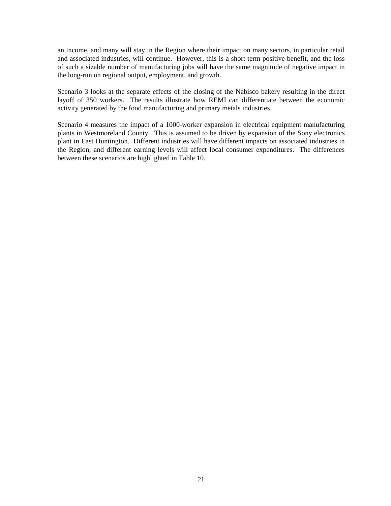an income, and many will stay in the Region where their impact on many sectors, in particular retail and associated industries, will continue. However, this is a short-term positive benefit, and the loss of such a sizable number of manufacturing jobs will have the same magnitude of negative impact in the long-run on regional output, employment, and growth.

Scenario 3 looks at the separate effects of the closing of the Nabisco bakery resulting in the direct layoff of 350 workers. The results illustrate how REMI can differentiate between the economic activity generated by the food manufacturing and primary metals industries.

Scenario 4 measures the impact of a 1000-worker expansion in electrical equipment manufacturing plants in Westmoreland County. This is assumed to be driven by expansion of the Sony electronics plant in East Huntington. Different industries will have different impacts on associated industries in the Region, and different earning levels will affect local consumer expenditures. The differences between these scenarios are highlighted in Table 10.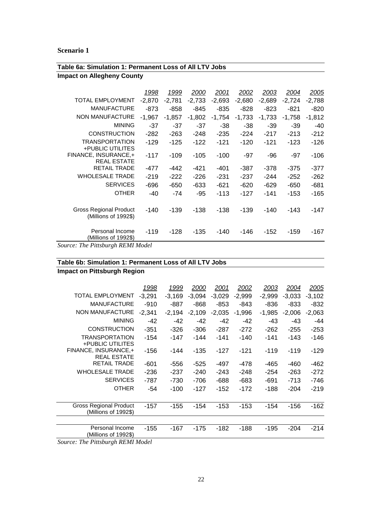| Table 6a: Simulation 1: Permanent Loss of All LTV Jobs |          |          |          |          |          |          |          |          |  |
|--------------------------------------------------------|----------|----------|----------|----------|----------|----------|----------|----------|--|
| <b>Impact on Allegheny County</b>                      |          |          |          |          |          |          |          |          |  |
|                                                        | 1998     | 1999     | 2000     | 2001     | 2002     | 2003     | 2004     | 2005     |  |
| <b>TOTAL EMPLOYMENT</b>                                | $-2,870$ | $-2,781$ | $-2,733$ | $-2,693$ | $-2,680$ | $-2,689$ | $-2,724$ | $-2,788$ |  |
| <b>MANUFACTURE</b>                                     | -873     | -858     | -845     | $-835$   | -828     | -823     | $-821$   | $-820$   |  |
| <b>NON MANUFACTURE</b>                                 | $-1,967$ | $-1,857$ | $-1,802$ | $-1,754$ | $-1,733$ | $-1,733$ | $-1,758$ | $-1,812$ |  |
| <b>MINING</b>                                          | -37      | $-37$    | $-37$    | -38      | -38      | -39      | -39      | -40      |  |
| <b>CONSTRUCTION</b>                                    | $-282$   | $-263$   | $-248$   | $-235$   | $-224$   | $-217$   | $-213$   | $-212$   |  |
| <b>TRANSPORTATION</b><br>+PUBLIC UTILITES              | $-129$   | $-125$   | $-122$   | $-121$   | $-120$   | $-121$   | $-123$   | $-126$   |  |
| FINANCE, INSURANCE,+<br><b>REAL ESTATE</b>             | $-117$   | -109     | $-105$   | $-100$   | -97      | -96      | -97      | $-106$   |  |
| <b>RETAIL TRADE</b>                                    | $-477$   | -442     | $-421$   | $-401$   | $-387$   | -378     | $-375$   | $-377$   |  |
| <b>WHOLESALE TRADE</b>                                 | $-219$   | $-222$   | $-226$   | $-231$   | $-237$   | -244     | $-252$   | $-262$   |  |
| <b>SERVICES</b>                                        | -696     | -650     | $-633$   | $-621$   | -620     | $-629$   | -650     | $-681$   |  |
| <b>OTHER</b>                                           | -40      | -74      | -95      | $-113$   | $-127$   | $-141$   | $-153$   | $-165$   |  |
| <b>Gross Regional Product</b><br>(Millions of 1992\$)  | -140     | -139     | $-138$   | $-138$   | $-139$   | $-140$   | -143     | -147     |  |
| Personal Income<br>(Millions of 1992\$)                | $-119$   | -128     | -135     | $-140$   | -146     | $-152$   | $-159$   | -167     |  |

*Source: The Pittsburgh REMI Model*

## **Table 6b: Simulation 1: Permanent Loss of All LTV Jobs**

**Impact on Pittsburgh Region**

|                                                       | 1998     | 1999     | 2000     | 2001     | 2002     | 2003     | 2004     | 2005     |
|-------------------------------------------------------|----------|----------|----------|----------|----------|----------|----------|----------|
| TOTAL EMPLOYMENT                                      | $-3,291$ | $-3,169$ | $-3,094$ | $-3,029$ | $-2,999$ | $-2,999$ | $-3,033$ | $-3,102$ |
| <b>MANUFACTURE</b>                                    | $-910$   | -887     | $-868$   | -853     | -843     | -836     | $-833$   | -832     |
| <b>NON MANUFACTURE</b>                                | $-2,341$ | $-2,194$ | $-2.109$ | $-2.035$ | $-1.996$ | $-1.985$ | $-2,006$ | $-2,063$ |
| <b>MINING</b>                                         | -42      | -42      | -42      | -42      | -42      | -43      | -43      | -44      |
| <b>CONSTRUCTION</b>                                   | $-351$   | -326     | $-306$   | $-287$   | $-272$   | $-262$   | $-255$   | $-253$   |
| <b>TRANSPORTATION</b><br>+PUBLIC UTILITES             | -154     | $-147$   | -144     | $-141$   | $-140$   | $-141$   | -143     | -146     |
| FINANCE, INSURANCE,+<br><b>REAL ESTATE</b>            | $-156$   | -144     | $-135$   | $-127$   | $-121$   | $-119$   | $-119$   | $-129$   |
| <b>RETAIL TRADE</b>                                   | -601     | -556     | $-525$   | -497     | -478     | -465     | -460     | -462     |
| <b>WHOLESALE TRADE</b>                                | $-236$   | -237     | $-240$   | $-243$   | $-248$   | $-254$   | $-263$   | $-272$   |
| <b>SERVICES</b>                                       | -787     | -730     | -706     | $-688$   | -683     | -691     | -713     | -746     |
| <b>OTHER</b>                                          | -54      | -100     | $-127$   | -152     | $-172$   | -188     | $-204$   | $-219$   |
| <b>Gross Regional Product</b><br>(Millions of 1992\$) | -157     | -155     | -154     | -153     | -153     | -154     | -156     | $-162$   |
| Personal Income<br>(Millions of 1992\$)               | $-155$   | -167     | -175     | -182     | $-188$   | $-195$   | $-204$   | $-214$   |
| . <i>.</i> . <i>.</i>                                 |          |          |          |          |          |          |          |          |

*Source: The Pittsburgh REMI Model*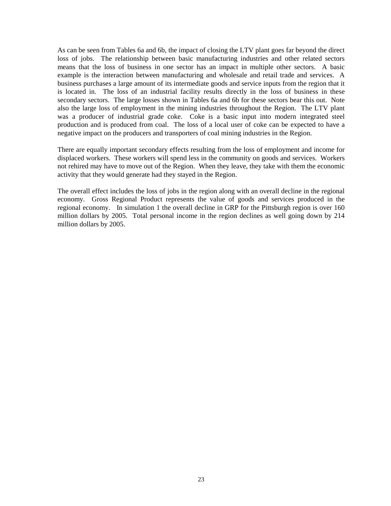As can be seen from Tables 6a and 6b, the impact of closing the LTV plant goes far beyond the direct loss of jobs. The relationship between basic manufacturing industries and other related sectors means that the loss of business in one sector has an impact in multiple other sectors. A basic example is the interaction between manufacturing and wholesale and retail trade and services. A business purchases a large amount of its intermediate goods and service inputs from the region that it is located in. The loss of an industrial facility results directly in the loss of business in these secondary sectors. The large losses shown in Tables 6a and 6b for these sectors bear this out. Note also the large loss of employment in the mining industries throughout the Region. The LTV plant was a producer of industrial grade coke. Coke is a basic input into modern integrated steel production and is produced from coal. The loss of a local user of coke can be expected to have a negative impact on the producers and transporters of coal mining industries in the Region.

There are equally important secondary effects resulting from the loss of employment and income for displaced workers. These workers will spend less in the community on goods and services. Workers not rehired may have to move out of the Region. When they leave, they take with them the economic activity that they would generate had they stayed in the Region.

The overall effect includes the loss of jobs in the region along with an overall decline in the regional economy. Gross Regional Product represents the value of goods and services produced in the regional economy. In simulation 1 the overall decline in GRP for the Pittsburgh region is over 160 million dollars by 2005. Total personal income in the region declines as well going down by 214 million dollars by 2005.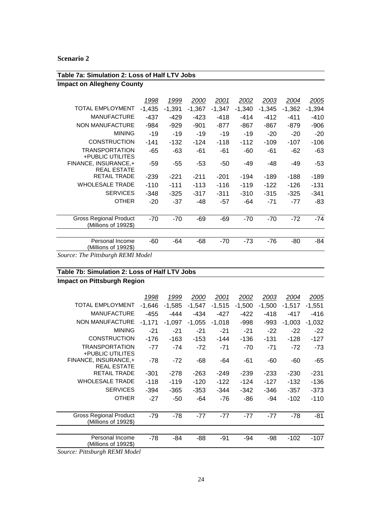#### **Table 7a: Simulation 2: Loss of Half LTV Jobs Impact on Allegheny County** 1998 1999 2000 2001 2002 2003 2004 2005 TOTAL EMPLOYMENT -1,435 -1,391 -1,367 -1,347 -1,340 -1,345 -1,362 -1,394 MANUFACTURE -437 -429 -423 -418 -414 -412 -411 -410 NON MANUFACTURE -984 -929 -901 -877 -867 -867 -879 -906 MINING -19 -19 -19 -19 -19 -20 -20 -20 CONSTRUCTION -141 -132 -124 -118 -112 -109 -107 -106 TRANSPORTATION +PUBLIC UTILITES -65 -63 -61 -61 -60 -61 -62 -63 FINANCE, INSURANCE,+ REAL ESTATE -59 -55 -53 -50 -49 -48 -49 -53 RETAIL TRADE -239 -221 -211 -201 -194 -189 -188 -189 WHOLESALE TRADE -110 -111 -113 -116 -119 -122 -126 -131 SERVICES -348 -325 -317 -311 -310 -315 -325 -341 OTHER -20 -37 -48 -57 -64 -71 -77 -83 Gross Regional Product (Millions of 1992\$) -70 -70 -69 -69 -70 -70 -72 -74 Personal Income (Millions of 1992\$) -60 -64 -68 -70 -73 -76 -80 -84

*Source: The Pittsburgh REMI Model*

#### **Table 7b: Simulation 2: Loss of Half LTV Jobs**

**Impact on Pittsburgh Region**

|                                                       | 1998     | 1999     | 2000     | 2001     | 2002     | 2003     | 2004     | 2005     |
|-------------------------------------------------------|----------|----------|----------|----------|----------|----------|----------|----------|
| <b>TOTAL EMPLOYMENT</b>                               | $-1,646$ | $-1,585$ | $-1,547$ | $-1,515$ | $-1,500$ | $-1,500$ | $-1.517$ | $-1,551$ |
| <b>MANUFACTURE</b>                                    | -455     | -444     | $-434$   | -427     | -422     | $-418$   | -417     | $-416$   |
| <b>NON MANUFACTURE</b>                                | $-1,171$ | $-1,097$ | $-1.055$ | $-1.018$ | -998     | -993     | $-1.003$ | $-1,032$ |
| <b>MINING</b>                                         | $-21$    | $-21$    | -21      | $-21$    | $-21$    | $-22$    | $-22$    | $-22$    |
| <b>CONSTRUCTION</b>                                   | $-176$   | -163     | $-153$   | $-144$   | $-136$   | $-131$   | $-128$   | $-127$   |
| <b>TRANSPORTATION</b><br>+PUBLIC UTILITES             | $-77$    | $-74$    | $-72$    | $-71$    | $-70$    | -71      | $-72$    | -73      |
| FINANCE, INSURANCE,+<br><b>REAL ESTATE</b>            | $-78$    | $-72$    | -68      | -64      | -61      | -60      | -60      | $-65$    |
| <b>RETAIL TRADE</b>                                   | $-301$   | $-278$   | $-263$   | $-249$   | $-239$   | $-233$   | $-230$   | $-231$   |
| <b>WHOLESALE TRADE</b>                                | $-118$   | $-119$   | $-120$   | $-122$   | $-124$   | $-127$   | -132     | -136     |
| <b>SERVICES</b>                                       | $-394$   | $-365$   | $-353$   | $-344$   | $-342$   | -346     | $-357$   | $-373$   |
| <b>OTHER</b>                                          | $-27$    | -50      | -64      | -76      | -86      | -94      | $-102$   | $-110$   |
| <b>Gross Regional Product</b><br>(Millions of 1992\$) | -79      | -78      | $-77$    | $-77$    | $-77$    | -77      | -78      | $-81$    |
|                                                       |          |          |          |          |          |          |          |          |
| Personal Income<br>(Millions of 1992\$)               | -78      | -84      | -88      | -91      | $-94$    | -98      | $-102$   | $-107$   |

*Source: Pittsburgh REMI Model*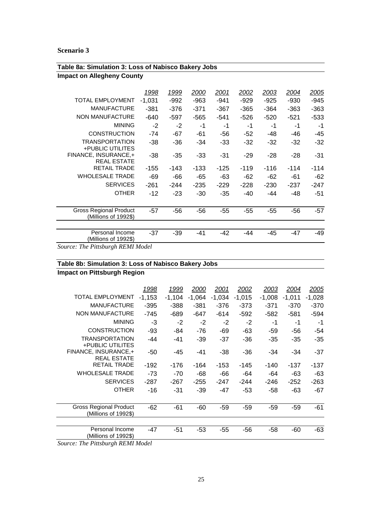| Table 8a: Simulation 3: Loss of Nabisco Bakery Jobs   |          |        |        |        |        |        |        |        |  |
|-------------------------------------------------------|----------|--------|--------|--------|--------|--------|--------|--------|--|
| <b>Impact on Allegheny County</b>                     |          |        |        |        |        |        |        |        |  |
|                                                       | 1998     | 1999   | 2000   | 2001   | 2002   | 2003   | 2004   | 2005   |  |
| <b>TOTAL EMPLOYMENT</b>                               | $-1,031$ | $-992$ | $-963$ | $-941$ | $-929$ | $-925$ | $-930$ | $-945$ |  |
| <b>MANUFACTURE</b>                                    | $-381$   | -376   | $-371$ | $-367$ | $-365$ | $-364$ | $-363$ | $-363$ |  |
| <b>NON MANUFACTURE</b>                                | $-640$   | $-597$ | $-565$ | $-541$ | $-526$ | $-520$ | $-521$ | $-533$ |  |
| <b>MINING</b>                                         | $-2$     | $-2$   | -1     | -1     | $-1$   | -1     | -1     | -1     |  |
| <b>CONSTRUCTION</b>                                   | $-74$    | $-67$  | $-61$  | -56    | $-52$  | -48    | -46    | -45    |  |
| <b>TRANSPORTATION</b><br>+PUBLIC UTILITES             | $-38$    | $-36$  | $-34$  | -33    | $-32$  | $-32$  | -32    | -32    |  |
| FINANCE, INSURANCE,+<br><b>REAL ESTATE</b>            | $-38$    | $-35$  | $-33$  | $-31$  | $-29$  | $-28$  | $-28$  | -31    |  |
| <b>RETAIL TRADE</b>                                   | $-155$   | -143   | $-133$ | $-125$ | $-119$ | $-116$ | $-114$ | $-114$ |  |
| <b>WHOLESALE TRADE</b>                                | $-69$    | -66    | $-65$  | -63    | $-62$  | $-62$  | -61    | -62    |  |
| <b>SERVICES</b>                                       | $-261$   | $-244$ | $-235$ | $-229$ | $-228$ | $-230$ | -237   | $-247$ |  |
| <b>OTHER</b>                                          | $-12$    | $-23$  | $-30$  | $-35$  | -40    | -44    | -48    | -51    |  |
| <b>Gross Regional Product</b><br>(Millions of 1992\$) | $-57$    | $-56$  | $-56$  | $-55$  | $-55$  | $-55$  | $-56$  | $-57$  |  |
| Personal Income<br>(Millions of 1992\$)               | $-37$    | $-39$  | $-41$  | -42    | $-44$  | -45    | $-47$  | -49    |  |
| Counsel The Distribungh DEMI Model                    |          |        |        |        |        |        |        |        |  |

*Source: The Pittsburgh REMI Model*

## **Table 8b: Simulation 3: Loss of Nabisco Bakery Jobs**

**Impact on Pittsburgh Region**

|                                                | 1998     | 1999     | 2000     | 2001     | 2002     | 2003     | 2004     | 2005     |
|------------------------------------------------|----------|----------|----------|----------|----------|----------|----------|----------|
| <b>TOTAL EMPLOYMENT</b>                        | $-1,153$ | $-1,104$ | $-1,064$ | $-1,034$ | $-1,015$ | $-1,008$ | $-1,011$ | $-1,028$ |
| <b>MANUFACTURE</b>                             | -395     | $-388$   | $-381$   | -376     | $-373$   | $-371$   | $-370$   | $-370$   |
| <b>NON MANUFACTURE</b>                         | -745     | -689     | -647     | $-614$   | $-592$   | -582     | -581     | -594     |
| <b>MINING</b>                                  | -3       | $-2$     | $-2$     | $-2$     | $-2$     | -1       | -1       | -1       |
| <b>CONSTRUCTION</b>                            | $-93$    | -84      | -76      | -69      | -63      | -59      | -56      | -54      |
| <b>TRANSPORTATION</b><br>+PUBLIC UTILITES      | -44      | -41      | $-39$    | $-37$    | -36      | -35      | -35      | -35      |
| FINANCE, INSURANCE,+<br><b>REAL ESTATE</b>     | -50      | -45      | $-41$    | -38      | -36      | -34      | -34      | $-37$    |
| <b>RETAIL TRADE</b>                            | $-192$   | -176     | -164     | $-153$   | -145     | -140     | -137     | -137     |
| <b>WHOLESALE TRADE</b>                         | $-73$    | $-70$    | -68      | -66      | -64      | -64      | -63      | -63      |
| <b>SERVICES</b>                                | $-287$   | $-267$   | $-255$   | $-247$   | $-244$   | -246     | $-252$   | $-263$   |
| <b>OTHER</b>                                   | $-16$    | -31      | $-39$    | $-47$    | -53      | -58      | -63      | $-67$    |
| Gross Regional Product<br>(Millions of 1992\$) | $-62$    | $-61$    | -60      | -59      | -59      | -59      | -59      | $-61$    |
| Personal Income<br>(Millions of 1992\$)        | -47      | -51      | -53      | $-55$    | $-56$    | -58      | -60      | $-63$    |
|                                                |          |          |          |          |          |          |          |          |

*Source: The Pittsburgh REMI Model*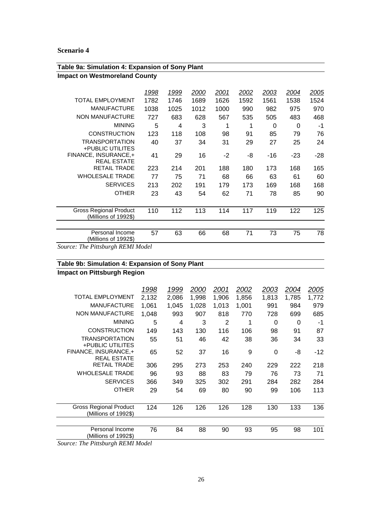| Table 9a: Simulation 4: Expansion of Sony Plant                                       |      |      |      |      |      |       |       |              |
|---------------------------------------------------------------------------------------|------|------|------|------|------|-------|-------|--------------|
| <b>Impact on Westmoreland County</b>                                                  |      |      |      |      |      |       |       |              |
|                                                                                       | 1998 | 1999 | 2000 | 2001 | 2002 | 2003  | 2004  | <u> 2005</u> |
| <b>TOTAL EMPLOYMENT</b>                                                               |      |      |      |      |      |       |       |              |
|                                                                                       | 1782 | 1746 | 1689 | 1626 | 1592 | 1561  | 1538  | 1524         |
| <b>MANUFACTURE</b>                                                                    | 1038 | 1025 | 1012 | 1000 | 990  | 982   | 975   | 970          |
| <b>NON MANUFACTURE</b>                                                                | 727  | 683  | 628  | 567  | 535  | 505   | 483   | 468          |
| <b>MINING</b>                                                                         | 5    | 4    | 3    | 1    | 1    | 0     | 0     | -1           |
| <b>CONSTRUCTION</b>                                                                   | 123  | 118  | 108  | 98   | 91   | 85    | 79    | 76           |
| <b>TRANSPORTATION</b><br>+PUBLIC UTILITES                                             | 40   | 37   | 34   | 31   | 29   | 27    | 25    | 24           |
| FINANCE, INSURANCE,+<br><b>REAL ESTATE</b>                                            | 41   | 29   | 16   | $-2$ | -8   | $-16$ | $-23$ | -28          |
| <b>RETAIL TRADE</b>                                                                   | 223  | 214  | 201  | 188  | 180  | 173   | 168   | 165          |
| <b>WHOLESALE TRADE</b>                                                                | 77   | 75   | 71   | 68   | 66   | 63    | 61    | 60           |
| <b>SERVICES</b>                                                                       | 213  | 202  | 191  | 179  | 173  | 169   | 168   | 168          |
| <b>OTHER</b>                                                                          | 23   | 43   | 54   | 62   | 71   | 78    | 85    | 90           |
| <b>Gross Regional Product</b><br>(Millions of 1992\$)                                 | 110  | 112  | 113  | 114  | 117  | 119   | 122   | 125          |
| Personal Income<br>(Millions of 1992\$)<br>$\mathbf{C}$<br>$T1.$ . D:4.11. DEMIM .1.1 | 57   | 63   | 66   | 68   | 71   | 73    | 75    | 78           |

*Source: The Pittsburgh REMI Model*

# **Table 9b: Simulation 4: Expansion of Sony Plant**

**Impact on Pittsburgh Region**

|                                                | 1998  | 1999  | <i>2000</i> | 2001  | 2002  | <u> 2003</u> | 2004  | 2005  |
|------------------------------------------------|-------|-------|-------------|-------|-------|--------------|-------|-------|
| <b>TOTAL EMPLOYMENT</b>                        | 2,132 | 2,086 | 1,998       | 1,906 | 1,856 | 1,813        | 1,785 | 1,772 |
| <b>MANUFACTURE</b>                             | 1.061 | 1.045 | 1,028       | 1.013 | 1.001 | 991          | 984   | 979   |
| NON MANUFACTURE                                | 1,048 | 993   | 907         | 818   | 770   | 728          | 699   | 685   |
| <b>MINING</b>                                  | 5     | 4     | 3           | 2     | 1     | 0            | 0     | $-1$  |
| <b>CONSTRUCTION</b>                            | 149   | 143   | 130         | 116   | 106   | 98           | 91    | 87    |
| <b>TRANSPORTATION</b><br>+PUBLIC UTILITES      | 55    | 51    | 46          | 42    | 38    | 36           | 34    | 33    |
| FINANCE, INSURANCE,+<br><b>REAL ESTATE</b>     | 65    | 52    | 37          | 16    | 9     | $\Omega$     | -8    | -12   |
| <b>RETAIL TRADE</b>                            | 306   | 295   | 273         | 253   | 240   | 229          | 222   | 218   |
| <b>WHOLESALE TRADE</b>                         | 96    | 93    | 88          | 83    | 79    | 76           | 73    | 71    |
| <b>SERVICES</b>                                | 366   | 349   | 325         | 302   | 291   | 284          | 282   | 284   |
| <b>OTHER</b>                                   | 29    | 54    | 69          | 80    | 90    | 99           | 106   | 113   |
| Gross Regional Product<br>(Millions of 1992\$) | 124   | 126   | 126         | 126   | 128   | 130          | 133   | 136   |
| Personal Income                                | 76    | 84    | 88          | 90    | 93    | 95           | 98    | 101   |
| (Millions of 1992\$)                           |       |       |             |       |       |              |       |       |

*Source: The Pittsburgh REMI Model*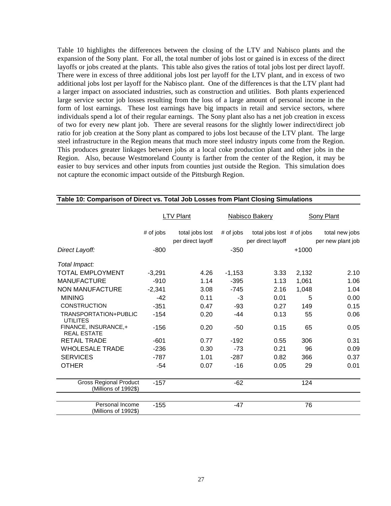Table 10 highlights the differences between the closing of the LTV and Nabisco plants and the expansion of the Sony plant. For all, the total number of jobs lost or gained is in excess of the direct layoffs or jobs created at the plants. This table also gives the ratios of total jobs lost per direct layoff. There were in excess of three additional jobs lost per layoff for the LTV plant, and in excess of two additional jobs lost per layoff for the Nabisco plant. One of the differences is that the LTV plant had a larger impact on associated industries, such as construction and utilities. Both plants experienced large service sector job losses resulting from the loss of a large amount of personal income in the form of lost earnings. These lost earnings have big impacts in retail and service sectors, where individuals spend a lot of their regular earnings. The Sony plant also has a net job creation in excess of two for every new plant job. There are several reasons for the slightly lower indirect/direct job ratio for job creation at the Sony plant as compared to jobs lost because of the LTV plant. The large steel infrastructure in the Region means that much more steel industry inputs come from the Region. This produces greater linkages between jobs at a local coke production plant and other jobs in the Region. Also, because Westmoreland County is farther from the center of the Region, it may be easier to buy services and other inputs from counties just outside the Region. This simulation does not capture the economic impact outside of the Pittsburgh Region.

|                                                       |           | LTV Plant                            |           | <b>Nabisco Bakery</b>                            | <b>Sony Plant</b> |                                     |  |
|-------------------------------------------------------|-----------|--------------------------------------|-----------|--------------------------------------------------|-------------------|-------------------------------------|--|
|                                                       | # of jobs | total jobs lost<br>per direct layoff | # of jobs | total jobs lost $#$ of jobs<br>per direct layoff |                   | total new jobs<br>per new plant job |  |
| Direct Layoff:                                        | $-800$    |                                      | $-350$    |                                                  | $+1000$           |                                     |  |
| Total Impact:                                         |           |                                      |           |                                                  |                   |                                     |  |
| <b>TOTAL EMPLOYMENT</b>                               | $-3,291$  | 4.26                                 | $-1,153$  | 3.33                                             | 2,132             | 2.10                                |  |
| <b>MANUFACTURE</b>                                    | $-910$    | 1.14                                 | $-395$    | 1.13                                             | 1,061             | 1.06                                |  |
| <b>NON MANUFACTURE</b>                                | $-2,341$  | 3.08                                 | $-745$    | 2.16                                             | 1,048             | 1.04                                |  |
| <b>MINING</b>                                         | $-42$     | 0.11                                 | $-3$      | 0.01                                             | 5                 | 0.00                                |  |
| <b>CONSTRUCTION</b>                                   | $-351$    | 0.47                                 | $-93$     | 0.27                                             | 149               | 0.15                                |  |
| TRANSPORTATION+PUBLIC<br><b>UTILITES</b>              | $-154$    | 0.20                                 | $-44$     | 0.13                                             | 55                | 0.06                                |  |
| FINANCE, INSURANCE,+<br><b>REAL ESTATE</b>            | $-156$    | 0.20                                 | -50       | 0.15                                             | 65                | 0.05                                |  |
| <b>RETAIL TRADE</b>                                   | $-601$    | 0.77                                 | $-192$    | 0.55                                             | 306               | 0.31                                |  |
| <b>WHOLESALE TRADE</b>                                | $-236$    | 0.30                                 | -73       | 0.21                                             | 96                | 0.09                                |  |
| <b>SERVICES</b>                                       | $-787$    | 1.01                                 | $-287$    | 0.82                                             | 366               | 0.37                                |  |
| <b>OTHER</b>                                          | -54       | 0.07                                 | $-16$     | 0.05                                             | 29                | 0.01                                |  |
| <b>Gross Regional Product</b><br>(Millions of 1992\$) | $-157$    |                                      | $-62$     |                                                  | 124               |                                     |  |
| Personal Income<br>(Millions of 1992\$)               | $-155$    |                                      | $-47$     |                                                  | 76                |                                     |  |

### **Table 10: Comparison of Direct vs. Total Job Losses from Plant Closing Simulations**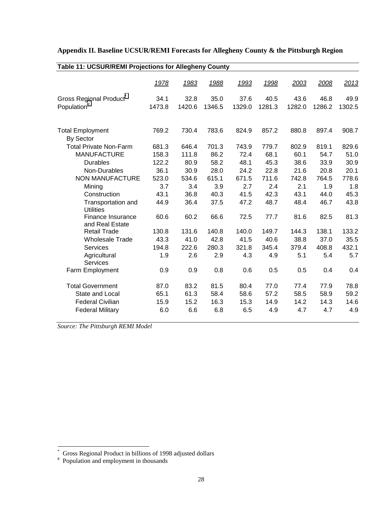| <b>Table 11: UCSUR/REMI Projections for Allegheny County</b> |        |        |        |        |        |        |        |        |
|--------------------------------------------------------------|--------|--------|--------|--------|--------|--------|--------|--------|
|                                                              | 1978   | 1983   | 1988   | 1993   | 1998   | 2003   | 2008   | 2013   |
| Gross Regional Product                                       | 34.1   | 32.8   | 35.0   | 37.6   | 40.5   | 43.6   | 46.8   | 49.9   |
| Population <sup>#</sup>                                      | 1473.8 | 1420.6 | 1346.5 | 1329.0 | 1281.3 | 1282.0 | 1286.2 | 1302.5 |
| <b>Total Employment</b>                                      | 769.2  | 730.4  | 783.6  | 824.9  | 857.2  | 880.8  | 897.4  | 908.7  |
| By Sector                                                    |        |        |        |        |        |        |        |        |
| <b>Total Private Non-Farm</b>                                | 681.3  | 646.4  | 701.3  | 743.9  | 779.7  | 802.9  | 819.1  | 829.6  |
| <b>MANUFACTURE</b>                                           | 158.3  | 111.8  | 86.2   | 72.4   | 68.1   | 60.1   | 54.7   | 51.0   |
| <b>Durables</b>                                              | 122.2  | 80.9   | 58.2   | 48.1   | 45.3   | 38.6   | 33.9   | 30.9   |
| Non-Durables                                                 | 36.1   | 30.9   | 28.0   | 24.2   | 22.8   | 21.6   | 20.8   | 20.1   |
| <b>NON MANUFACTURE</b>                                       | 523.0  | 534.6  | 615.1  | 671.5  | 711.6  | 742.8  | 764.5  | 778.6  |
| Mining                                                       | 3.7    | 3.4    | 3.9    | 2.7    | 2.4    | 2.1    | 1.9    | 1.8    |
| Construction                                                 | 43.1   | 36.8   | 40.3   | 41.5   | 42.3   | 43.1   | 44.0   | 45.3   |
| Transportation and<br><b>Utilities</b>                       | 44.9   | 36.4   | 37.5   | 47.2   | 48.7   | 48.4   | 46.7   | 43.8   |
| Finance Insurance<br>and Real Estate                         | 60.6   | 60.2   | 66.6   | 72.5   | 77.7   | 81.6   | 82.5   | 81.3   |
| <b>Retail Trade</b>                                          | 130.8  | 131.6  | 140.8  | 140.0  | 149.7  | 144.3  | 138.1  | 133.2  |
| <b>Wholesale Trade</b>                                       | 43.3   | 41.0   | 42.8   | 41.5   | 40.6   | 38.8   | 37.0   | 35.5   |
| Services                                                     | 194.8  | 222.6  | 280.3  | 321.8  | 345.4  | 379.4  | 408.8  | 432.1  |
| Agricultural<br><b>Services</b>                              | 1.9    | 2.6    | 2.9    | 4.3    | 4.9    | 5.1    | 5.4    | 5.7    |
| Farm Employment                                              | 0.9    | 0.9    | 0.8    | 0.6    | 0.5    | 0.5    | 0.4    | 0.4    |
| <b>Total Government</b>                                      | 87.0   | 83.2   | 81.5   | 80.4   | 77.0   | 77.4   | 77.9   | 78.8   |
| State and Local                                              | 65.1   | 61.3   | 58.4   | 58.6   | 57.2   | 58.5   | 58.9   | 59.2   |
| <b>Federal Civilian</b>                                      | 15.9   | 15.2   | 16.3   | 15.3   | 14.9   | 14.2   | 14.3   | 14.6   |
| <b>Federal Military</b>                                      | 6.0    | 6.6    | 6.8    | 6.5    | 4.9    | 4.7    | 4.7    | 4.9    |

## **Appendix II. Baseline UCSUR/REMI Forecasts for Allegheny County & the Pittsburgh Region**

*Source: The Pittsburgh REMI Model*

<sup>\*</sup> Gross Regional Product in billions of 1998 adjusted dollars # Population and employment in thousands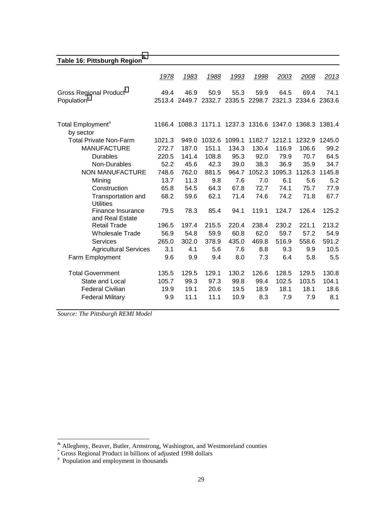## **Table 16: Pittsburgh Region&**

|                                        | 1978   | 1983                                                    | 1988   | 1993   | 1998   | 2003   | 2008   | 2013   |
|----------------------------------------|--------|---------------------------------------------------------|--------|--------|--------|--------|--------|--------|
| <b>Gross Regional Product</b>          | 49.4   | 46.9                                                    | 50.9   | 55.3   | 59.9   | 64.5   | 69.4   | 74.1   |
| Population <sup>#</sup>                |        | 2513.4 2449.7 2332.7 2335.5 2298.7                      |        |        |        | 2321.3 | 2334.6 | 2363.6 |
| Total Employment <sup>#</sup>          |        | 1166.4 1088.3 1171.1 1237.3 1316.6 1347.0 1368.3 1381.4 |        |        |        |        |        |        |
| by sector                              |        |                                                         |        |        |        |        |        |        |
| <b>Total Private Non-Farm</b>          | 1021.3 | 949.0                                                   | 1032.6 | 1099.1 | 1182.7 | 1212.1 | 1232.9 | 1245.0 |
| <b>MANUFACTURE</b>                     | 272.7  | 187.0                                                   | 151.1  | 134.3  | 130.4  | 116.9  | 106.6  | 99.2   |
| <b>Durables</b>                        | 220.5  | 141.4                                                   | 108.8  | 95.3   | 92.0   | 79.9   | 70.7   | 64.5   |
| Non-Durables                           | 52.2   | 45.6                                                    | 42.3   | 39.0   | 38.3   | 36.9   | 35.9   | 34.7   |
| NON MANUFACTURE                        | 748.6  | 762.0                                                   | 881.5  | 964.7  | 1052.3 | 1095.3 | 1126.3 | 1145.8 |
| Mining                                 | 13.7   | 11.3                                                    | 9.8    | 7.6    | 7.0    | 6.1    | 5.6    | 5.2    |
| Construction                           | 65.8   | 54.5                                                    | 64.3   | 67.8   | 72.7   | 74.1   | 75.7   | 77.9   |
| Transportation and<br><b>Utilities</b> | 68.2   | 59.6                                                    | 62.1   | 71.4   | 74.6   | 74.2   | 71.8   | 67.7   |
| Finance Insurance<br>and Real Estate   | 79.5   | 78.3                                                    | 85.4   | 94.1   | 119.1  | 124.7  | 126.4  | 125.2  |
| <b>Retail Trade</b>                    | 196.5  | 197.4                                                   | 215.5  | 220.4  | 238.4  | 230.2  | 221.1  | 213.2  |
| <b>Wholesale Trade</b>                 | 56.9   | 54.8                                                    | 59.9   | 60.8   | 62.0   | 59.7   | 57.2   | 54.9   |
| Services                               | 265.0  | 302.0                                                   | 378.9  | 435.0  | 469.8  | 516.9  | 558.6  | 591.2  |
| <b>Agricultural Services</b>           | 3.1    | 4.1                                                     | 5.6    | 7.6    | 8.8    | 9.3    | 9.9    | 10.5   |
| Farm Employment                        | 9.6    | 9.9                                                     | 9.4    | 8.0    | 7.3    | 6.4    | 5.8    | 5.5    |
| <b>Total Government</b>                | 135.5  | 129.5                                                   | 129.1  | 130.2  | 126.6  | 128.5  | 129.5  | 130.8  |
| State and Local                        | 105.7  | 99.3                                                    | 97.3   | 99.8   | 99.4   | 102.5  | 103.5  | 104.1  |
| <b>Federal Civilian</b>                | 19.9   | 19.1                                                    | 20.6   | 19.5   | 18.9   | 18.1   | 18.1   | 18.6   |
| <b>Federal Military</b>                | 9.9    | 11.1                                                    | 11.1   | 10.9   | 8.3    | 7.9    | 7.9    | 8.1    |

*Source: The Pittsburgh REMI Model*

 $*$  Allegheny, Beaver, Butler, Armstrong, Washington, and Westmoreland counties  $*$  Gross Regional Product in billions of adjusted 1998 dollars

<sup>#</sup> Population and employment in thousands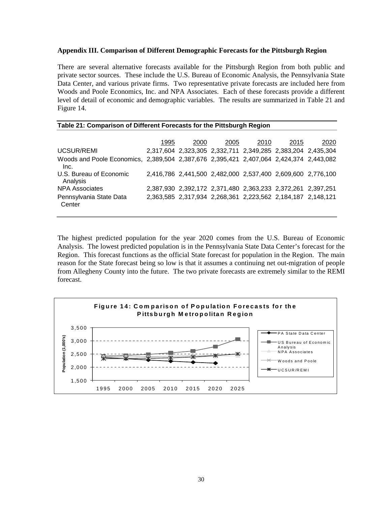#### **Appendix III. Comparison of Different Demographic Forecasts for the Pittsburgh Region**

There are several alternative forecasts available for the Pittsburgh Region from both public and private sector sources. These include the U.S. Bureau of Economic Analysis, the Pennsylvania State Data Center, and various private firms. Two representative private forecasts are included here from Woods and Poole Economics, Inc. and NPA Associates. Each of these forecasts provide a different level of detail of economic and demographic variables. The results are summarized in Table 21 and Figure 14.

| Table 21: Comparison of Different Forecasts for the Pittsburgh Region                          |      |      |      |      |                                                             |      |  |  |  |  |  |  |  |
|------------------------------------------------------------------------------------------------|------|------|------|------|-------------------------------------------------------------|------|--|--|--|--|--|--|--|
|                                                                                                | 1995 | 2000 | 2005 | 2010 | 2015                                                        | 2020 |  |  |  |  |  |  |  |
| UCSUR/REMI                                                                                     |      |      |      |      | 2,317,604 2,323,305 2,332,711 2,349,285 2,383,204 2,435,304 |      |  |  |  |  |  |  |  |
| Woods and Poole Economics, 2,389,504 2,387,676 2,395,421 2,407,064 2,424,374 2,443,082<br>Inc. |      |      |      |      |                                                             |      |  |  |  |  |  |  |  |
| U.S. Bureau of Economic<br>Analysis                                                            |      |      |      |      | 2,416,786 2,441,500 2,482,000 2,537,400 2,609,600 2,776,100 |      |  |  |  |  |  |  |  |
| NPA Associates                                                                                 |      |      |      |      | 2,387,930 2,392,172 2,371,480 2,363,233 2,372,261 2,397,251 |      |  |  |  |  |  |  |  |
| Pennsylvania State Data<br>Center                                                              |      |      |      |      | 2,363,585 2,317,934 2,268,361 2,223,562 2,184,187 2,148,121 |      |  |  |  |  |  |  |  |

The highest predicted population for the year 2020 comes from the U.S. Bureau of Economic Analysis. The lowest predicted population is in the Pennsylvania State Data Center's forecast for the Region. This forecast functions as the official State forecast for population in the Region. The main reason for the State forecast being so low is that it assumes a continuing net out-migration of people from Allegheny County into the future. The two private forecasts are extremely similar to the REMI forecast.

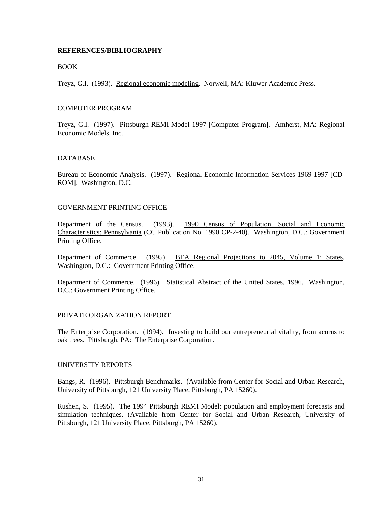#### **REFERENCES/BIBLIOGRAPHY**

#### **BOOK**

Treyz, G.I. (1993). Regional economic modeling. Norwell, MA: Kluwer Academic Press.

#### COMPUTER PROGRAM

Treyz, G.I. (1997). Pittsburgh REMI Model 1997 [Computer Program]. Amherst, MA: Regional Economic Models, Inc.

#### **DATABASE**

Bureau of Economic Analysis. (1997). Regional Economic Information Services 1969-1997 [CD-ROM]. Washington, D.C.

#### GOVERNMENT PRINTING OFFICE

Department of the Census. (1993). 1990 Census of Population, Social and Economic Characteristics: Pennsylvania (CC Publication No. 1990 CP-2-40). Washington, D.C.: Government Printing Office.

Department of Commerce. (1995). BEA Regional Projections to 2045, Volume 1: States. Washington, D.C.: Government Printing Office.

Department of Commerce. (1996). Statistical Abstract of the United States, 1996. Washington, D.C.: Government Printing Office.

#### PRIVATE ORGANIZATION REPORT

The Enterprise Corporation. (1994). Investing to build our entrepreneurial vitality, from acorns to oak trees. Pittsburgh, PA: The Enterprise Corporation.

#### UNIVERSITY REPORTS

Bangs, R. (1996). Pittsburgh Benchmarks. (Available from Center for Social and Urban Research, University of Pittsburgh, 121 University Place, Pittsburgh, PA 15260).

Rushen, S. (1995). The 1994 Pittsburgh REMI Model: population and employment forecasts and simulation techniques. (Available from Center for Social and Urban Research, University of Pittsburgh, 121 University Place, Pittsburgh, PA 15260).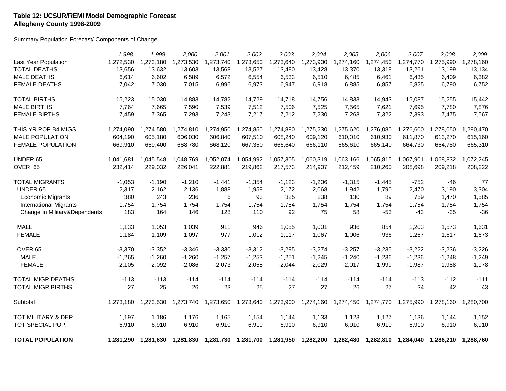#### **Table 12: UCSUR/REMI Model Demographic Forecast Allegheny County 1998-2009**

Summary Population Forecast/ Components of Change

|                               | 1,998     | 1,999     | 2,000     | 2,001                                                                 | 2,002     | 2,003     | 2,004               | 2,005     | 2,006     | 2,007     | 2,008     | 2,009     |
|-------------------------------|-----------|-----------|-----------|-----------------------------------------------------------------------|-----------|-----------|---------------------|-----------|-----------|-----------|-----------|-----------|
| Last Year Population          | 1,272,530 | 1,273,180 | 1,273,530 | 1,273,740                                                             | 1,273,650 | 1,273,640 | 1,273,900           | 1,274,160 | 1,274,450 | 1,274,770 | 1,275,990 | 1,278,160 |
| <b>TOTAL DEATHS</b>           | 13,656    | 13,632    | 13,603    | 13,568                                                                | 13,527    | 13,480    | 13,428              | 13,370    | 13,318    | 13,261    | 13,199    | 13,134    |
| <b>MALE DEATHS</b>            | 6,614     | 6,602     | 6,589     | 6,572                                                                 | 6,554     | 6,533     | 6,510               | 6,485     | 6,461     | 6,435     | 6,409     | 6,382     |
| <b>FEMALE DEATHS</b>          | 7,042     | 7,030     | 7,015     | 6,996                                                                 | 6,973     | 6,947     | 6,918               | 6,885     | 6,857     | 6,825     | 6,790     | 6,752     |
| <b>TOTAL BIRTHS</b>           | 15,223    | 15,030    | 14,883    | 14,782                                                                | 14,729    | 14,718    | 14,756              | 14,833    | 14,943    | 15,087    | 15,255    | 15,442    |
| <b>MALE BIRTHS</b>            | 7,764     | 7.665     | 7,590     | 7,539                                                                 | 7,512     | 7,506     | 7,525               | 7,565     | 7,621     | 7,695     | 7,780     | 7,876     |
| <b>FEMALE BIRTHS</b>          | 7,459     | 7,365     | 7,293     | 7,243                                                                 | 7,217     | 7,212     | 7,230               | 7,268     | 7,322     | 7,393     | 7,475     | 7,567     |
| THIS YR POP B4 MIGS           | 1,274,090 | 1,274,580 | 1,274,810 | 1,274,950                                                             | 1,274,850 | 1,274,880 | 1,275,230           | 1,275,620 | 1,276,080 | 1,276,600 | 1,278,050 | 1,280,470 |
| <b>MALE POPULATION</b>        | 604,190   | 605,180   | 606,030   | 606,840                                                               | 607,510   | 608,240   | 609,120             | 610,010   | 610,930   | 611,870   | 613,270   | 615,160   |
| <b>FEMALE POPULATION</b>      | 669,910   | 669,400   | 668,780   | 668,120                                                               | 667,350   | 666,640   | 666,110             | 665,610   | 665,140   | 664,730   | 664,780   | 665,310   |
| UNDER 65                      | 1,041,681 | 1,045,548 | 1,048,769 | 1,052,074                                                             | 1,054,992 | 1,057,305 | 1,060,319           | 1,063,166 | 1,065,815 | 1,067,901 | 1,068,832 | 1,072,245 |
| OVER 65                       | 232,414   | 229,032   | 226,041   | 222,881                                                               | 219,862   | 217,573   | 214,907             | 212,459   | 210,260   | 208,698   | 209,218   | 208,222   |
| <b>TOTAL MIGRANTS</b>         | $-1,053$  | $-1,190$  | $-1,210$  | $-1,441$                                                              | $-1,354$  | $-1,123$  | $-1,206$            | $-1,315$  | $-1,445$  | $-752$    | $-46$     | 77        |
| UNDER 65                      | 2,317     | 2,162     | 2,136     | 1,888                                                                 | 1,958     | 2,172     | 2,068               | 1,942     | 1,790     | 2,470     | 3,190     | 3,304     |
| <b>Economic Migrants</b>      | 380       | 243       | 236       | 6                                                                     | 93        | 325       | 238                 | 130       | 89        | 759       | 1,470     | 1,585     |
| <b>International Migrants</b> | 1,754     | 1,754     | 1,754     | 1,754                                                                 | 1,754     | 1,754     | 1,754               | 1,754     | 1,754     | 1,754     | 1,754     | 1,754     |
| Change in Military&Dependents | 183       | 164       | 146       | 128                                                                   | 110       | 92        | 75                  | 58        | $-53$     | $-43$     | $-35$     | $-36$     |
| <b>MALE</b>                   | 1,133     | 1,053     | 1,039     | 911                                                                   | 946       | 1,055     | 1,001               | 936       | 854       | 1,203     | 1,573     | 1,631     |
| <b>FEMALE</b>                 | 1,184     | 1,109     | 1,097     | 977                                                                   | 1,012     | 1,117     | 1,067               | 1,006     | 936       | 1,267     | 1,617     | 1,673     |
| OVER <sub>65</sub>            | $-3,370$  | $-3,352$  | $-3,346$  | $-3,330$                                                              | $-3,312$  | $-3,295$  | $-3,274$            | $-3,257$  | $-3,235$  | $-3,222$  | $-3,236$  | $-3,226$  |
| <b>MALE</b>                   | $-1,265$  | $-1,260$  | $-1,260$  | $-1,257$                                                              | $-1,253$  | $-1,251$  | $-1,245$            | $-1,240$  | $-1,236$  | $-1,236$  | $-1,248$  | $-1,249$  |
| <b>FEMALE</b>                 | $-2,105$  | $-2,092$  | $-2,086$  | $-2,073$                                                              | $-2,058$  | $-2,044$  | $-2,029$            | $-2,017$  | $-1,999$  | $-1,987$  | $-1,988$  | $-1,978$  |
| <b>TOTAL MIGR DEATHS</b>      | $-113$    | $-113$    | $-114$    | $-114$                                                                | $-114$    | $-114$    | $-114$              | $-114$    | $-114$    | $-113$    | $-112$    | $-111$    |
| <b>TOTAL MIGR BIRTHS</b>      | 27        | 25        | 26        | 23                                                                    | 25        | 27        | 27                  | 26        | 27        | 34        | 42        | 43        |
| Subtotal                      | 1,273,180 | 1,273,530 | 1,273,740 | 1,273,650                                                             | 1,273,640 | 1,273,900 | 1,274,160 1,274,450 |           | 1,274,770 | 1,275,990 | 1,278,160 | 1,280,700 |
| TOT MILITARY & DEP            | 1,197     | 1,186     | 1,176     | 1,165                                                                 | 1,154     | 1,144     | 1,133               | 1,123     | 1,127     | 1,136     | 1,144     | 1,152     |
| TOT SPECIAL POP.              | 6,910     | 6,910     | 6,910     | 6,910                                                                 | 6,910     | 6,910     | 6,910               | 6,910     | 6,910     | 6,910     | 6,910     | 6,910     |
| <b>TOTAL POPULATION</b>       | 1,281,290 |           |           | 1,281,630 1,281,830 1,281,730 1,281,700 1,281,950 1,282,200 1,282,480 |           |           |                     |           | 1,282,810 | 1.284.040 | 1,286,210 | 1,288,760 |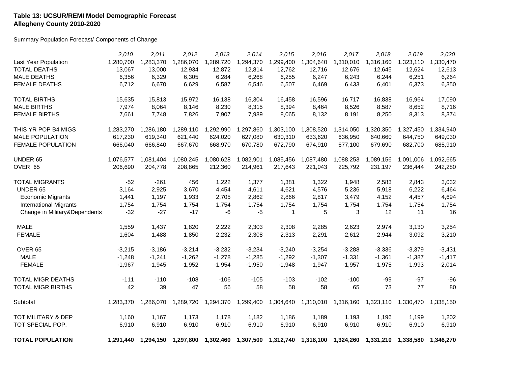#### **Table 13: UCSUR/REMI Model Demographic Forecast Allegheny County 2010-2020**

Summary Population Forecast/ Components of Change

|                               | 2,010     | 2,011     | 2,012     | 2,013     | 2,014     | 2,015        | 2,016               | 2,017               | 2,018     | 2,019     | 2,020     |
|-------------------------------|-----------|-----------|-----------|-----------|-----------|--------------|---------------------|---------------------|-----------|-----------|-----------|
| Last Year Population          | 1,280,700 | 1,283,370 | 1,286,070 | 1,289,720 | 1,294,370 | 1,299,400    | 1,304,640           | 1,310,010           | 1,316,160 | 1,323,110 | 1,330,470 |
| <b>TOTAL DEATHS</b>           | 13,067    | 13,000    | 12,934    | 12,872    | 12,814    | 12,762       | 12,716              | 12,676              | 12,645    | 12,624    | 12,613    |
| <b>MALE DEATHS</b>            | 6,356     | 6,329     | 6,305     | 6,284     | 6,268     | 6,255        | 6,247               | 6,243               | 6,244     | 6,251     | 6,264     |
| <b>FEMALE DEATHS</b>          | 6,712     | 6,670     | 6,629     | 6,587     | 6,546     | 6,507        | 6,469               | 6,433               | 6,401     | 6,373     | 6,350     |
| <b>TOTAL BIRTHS</b>           | 15,635    | 15,813    | 15,972    | 16,138    | 16,304    | 16,458       | 16,596              | 16,717              | 16,838    | 16,964    | 17,090    |
| <b>MALE BIRTHS</b>            | 7,974     | 8,064     | 8,146     | 8,230     | 8,315     | 8,394        | 8,464               | 8,526               | 8,587     | 8,652     | 8,716     |
| <b>FEMALE BIRTHS</b>          | 7,661     | 7,748     | 7,826     | 7,907     | 7,989     | 8,065        | 8,132               | 8,191               | 8,250     | 8,313     | 8,374     |
| THIS YR POP B4 MIGS           | 1,283,270 | 1,286,180 | 1,289,110 | 1,292,990 | 1,297,860 | 1,303,100    | 1,308,520           | 1,314,050           | 1,320,350 | 1,327,450 | 1,334,940 |
| <b>MALE POPULATION</b>        | 617,230   | 619,340   | 621,440   | 624,020   | 627,080   | 630,310      | 633,620             | 636,950             | 640,660   | 644,750   | 649,030   |
| <b>FEMALE POPULATION</b>      | 666,040   | 666,840   | 667,670   | 668,970   | 670,780   | 672,790      | 674,910             | 677,100             | 679,690   | 682,700   | 685,910   |
| UNDER 65                      | 1,076,577 | 1,081,404 | 1,080,245 | 1,080,628 | 1,082,901 | 1,085,456    | 1,087,480           | 1,088,253           | 1,089,156 | 1,091,006 | 1,092,665 |
| OVER 65                       | 206,690   | 204,778   | 208,865   | 212,360   | 214,961   | 217,643      | 221,043             | 225,792             | 231,197   | 236,444   | 242,280   |
| <b>TOTAL MIGRANTS</b>         | $-52$     | $-261$    | 456       | 1,222     | 1,377     | 1,381        | 1,322               | 1,948               | 2,583     | 2,843     | 3,032     |
| UNDER 65                      | 3,164     | 2,925     | 3,670     | 4,454     | 4,611     | 4,621        | 4,576               | 5,236               | 5,918     | 6,222     | 6,464     |
| <b>Economic Migrants</b>      | 1,441     | 1,197     | 1,933     | 2,705     | 2,862     | 2,866        | 2,817               | 3,479               | 4,152     | 4,457     | 4,694     |
| <b>International Migrants</b> | 1,754     | 1,754     | 1,754     | 1,754     | 1,754     | 1,754        | 1,754               | 1,754               | 1,754     | 1,754     | 1,754     |
| Change in Military&Dependents | $-32$     | $-27$     | $-17$     | -6        | $-5$      | $\mathbf{1}$ | 5                   | 3                   | 12        | 11        | 16        |
| <b>MALE</b>                   | 1,559     | 1,437     | 1,820     | 2,222     | 2,303     | 2,308        | 2,285               | 2,623               | 2,974     | 3,130     | 3,254     |
| <b>FEMALE</b>                 | 1,604     | 1,488     | 1,850     | 2,232     | 2,308     | 2,313        | 2,291               | 2,612               | 2,944     | 3,092     | 3,210     |
| OVER <sub>65</sub>            | $-3,215$  | $-3,186$  | $-3,214$  | $-3,232$  | $-3,234$  | $-3,240$     | $-3,254$            | $-3,288$            | $-3,336$  | $-3,379$  | $-3,431$  |
| <b>MALE</b>                   | $-1,248$  | $-1,241$  | $-1,262$  | $-1,278$  | $-1,285$  | $-1,292$     | $-1,307$            | $-1,331$            | $-1,361$  | $-1,387$  | $-1,417$  |
| <b>FEMALE</b>                 | $-1,967$  | $-1,945$  | $-1,952$  | $-1,954$  | $-1,950$  | $-1,948$     | $-1,947$            | $-1,957$            | $-1,975$  | $-1,993$  | $-2,014$  |
| <b>TOTAL MIGR DEATHS</b>      | $-111$    | $-110$    | $-108$    | $-106$    | $-105$    | $-103$       | $-102$              | $-100$              | $-99$     | $-97$     | $-96$     |
| <b>TOTAL MIGR BIRTHS</b>      | 42        | 39        | 47        | 56        | 58        | 58           | 58                  | 65                  | 73        | 77        | 80        |
| Subtotal                      | 1,283,370 | 1,286,070 | 1,289,720 | 1,294,370 | 1,299,400 | 1,304,640    |                     | 1,310,010 1,316,160 | 1,323,110 | 1,330,470 | 1,338,150 |
| TOT MILITARY & DEP            | 1,160     | 1,167     | 1,173     | 1,178     | 1,182     | 1,186        | 1,189               | 1,193               | 1,196     | 1,199     | 1,202     |
| TOT SPECIAL POP.              | 6,910     | 6,910     | 6,910     | 6,910     | 6,910     | 6,910        | 6,910               | 6,910               | 6,910     | 6,910     | 6,910     |
| <b>TOTAL POPULATION</b>       | 1.291.440 | 1,294,150 | 1,297,800 |           |           |              | 1,312,740 1,318,100 |                     |           | 1.338.580 | 1.346.270 |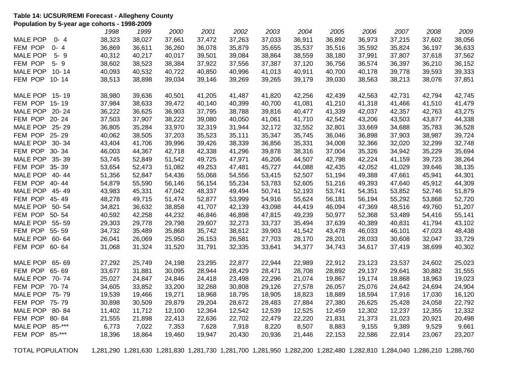#### **Table 14: UCSUR/REMI Forecast - Allegheny County Population by 5-year age cohorts - 1998-2009**

|                 |           | 1998   | 1999   | 2000   | 2001   | 2002   | 2003   | 2004   | 2005   | 2006   | 2007   | 2008   | 2009   |
|-----------------|-----------|--------|--------|--------|--------|--------|--------|--------|--------|--------|--------|--------|--------|
| <b>MALE POP</b> | 0-4       | 38,323 | 38,027 | 37,661 | 37,472 | 37,263 | 37,033 | 36,911 | 36,892 | 36,973 | 37,215 | 37,602 | 38,056 |
| FEM POP         | $0 - 4$   | 36,869 | 36,611 | 36,260 | 36,078 | 35,879 | 35,655 | 35,537 | 35,516 | 35,592 | 35,824 | 36,197 | 36,633 |
| <b>MALE POP</b> | $5 - 9$   | 40,312 | 40,217 | 40,017 | 39,501 | 39,084 | 38,864 | 38,559 | 38,180 | 37,991 | 37,807 | 37,618 | 37,562 |
| FEM POP         | $5 - 9$   | 38,602 | 38,523 | 38,384 | 37,922 | 37,556 | 37,387 | 37,120 | 36,756 | 36,574 | 36,397 | 36,210 | 36,152 |
| <b>MALE POP</b> | $10 - 14$ | 40,093 | 40,532 | 40,722 | 40,850 | 40,996 | 41,013 | 40,911 | 40,700 | 40,178 | 39,778 | 39,593 | 39,333 |
| FEM POP         | $10 - 14$ | 38,513 | 38,898 | 39,034 | 39,146 | 39,269 | 39,265 | 39,179 | 39,030 | 38,563 | 38,213 | 38,076 | 37,851 |
| MALE POP        | 15-19     | 38,980 | 39,636 | 40,501 | 41,205 | 41,487 | 41,820 | 42,256 | 42,439 | 42,563 | 42,731 | 42,794 | 42,745 |
| FEM POP 15-19   |           | 37,984 | 38,633 | 39,472 | 40,140 | 40,399 | 40,700 | 41,081 | 41,210 | 41,318 | 41,466 | 41,510 | 41,479 |
| MALE POP 20-24  |           | 36,222 | 36,625 | 36,903 | 37,795 | 38,788 | 39,816 | 40,477 | 41,339 | 42,037 | 42,357 | 42,763 | 43,275 |
| FEM POP         | $20 - 24$ | 37,503 | 37,907 | 38,222 | 39,080 | 40,050 | 41,061 | 41,710 | 42,542 | 43,206 | 43,503 | 43,877 | 44,338 |
| MALE POP 25-29  |           | 36,805 | 35,284 | 33,970 | 32,319 | 31,944 | 32,172 | 32,552 | 32,801 | 33,669 | 34,688 | 35,783 | 36,528 |
| FEM POP         | 25-29     | 40,062 | 38,505 | 37,203 | 35,523 | 35,111 | 35,347 | 35,745 | 36,046 | 36,898 | 37,903 | 38,987 | 39,724 |
| MALE POP        | $30 - 34$ | 43,404 | 41,706 | 39,996 | 39,426 | 38,339 | 36,856 | 35,331 | 34,008 | 32,366 | 32,020 | 32,299 | 32,748 |
| FEM POP         | 30-34     | 46,003 | 44,367 | 42,718 | 42,338 | 41,296 | 39,878 | 38,316 | 37,004 | 35,326 | 34,942 | 35,229 | 35,694 |
| MALE POP 35-39  |           | 53,745 | 52,849 | 51,542 | 49,725 | 47,971 | 46,206 | 44,507 | 42,798 | 42,224 | 41,159 | 39,723 | 38,264 |
| FEM POP         | 35-39     | 53,654 | 52,473 | 51,082 | 49,253 | 47,481 | 45,727 | 44,088 | 42,435 | 42,052 | 41,029 | 39,646 | 38,135 |
| MALE POP 40-44  |           | 51,356 | 52,847 | 54,436 | 55,068 | 54,556 | 53,415 | 52,507 | 51,194 | 49,388 | 47,661 | 45,941 | 44,301 |
| FEM POP 40-44   |           | 54,879 | 55,590 | 56,146 | 56,154 | 55,234 | 53,783 | 52,605 | 51,216 | 49,393 | 47,640 | 45,912 | 44,309 |
| MALE POP 45-49  |           | 43,983 | 45,331 | 47,042 | 48,337 | 49,494 | 50,741 | 52,193 | 53,741 | 54,351 | 53,852 | 52,746 | 51,879 |
| FEM POP         | 45-49     | 48,278 | 49,715 | 51,474 | 52,877 | 53,999 | 54,916 | 55,624 | 56,181 | 56,194 | 55,292 | 53,868 | 52,720 |
| MALE POP        | 50-54     | 34,821 | 36,632 | 38,858 | 41,707 | 42,139 | 43,098 | 44,419 | 46,094 | 47,369 | 48,516 | 49,760 | 51,207 |
| FEM POP 50-54   |           | 40,592 | 42,258 | 44,232 | 46,846 | 46,898 | 47,815 | 49,239 | 50,977 | 52,368 | 53,489 | 54,416 | 55,141 |
| MALE POP 55-59  |           | 29,303 | 29,778 | 29,798 | 29,607 | 32,273 | 33,737 | 35,494 | 37,639 | 40,389 | 40,831 | 41,794 | 43,102 |
| FEM POP         | 55-59     | 34,732 | 35,489 | 35,868 | 35,742 | 38,612 | 39,903 | 41,542 | 43,478 | 46,033 | 46,101 | 47,023 | 48,438 |
| MALE POP        | 60-64     | 26,041 | 26,069 | 25,950 | 26,153 | 26,581 | 27,703 | 28,170 | 28,201 | 28,033 | 30,608 | 32,047 | 33,729 |
| FEM POP         | 60-64     | 31,068 | 31,324 | 31,520 | 31,791 | 32,335 | 33,641 | 34,377 | 34,743 | 34,617 | 37,419 | 38,699 | 40,302 |
| MALE POP        | 65-69     | 27,292 | 25,749 | 24,198 | 23,295 | 22,877 | 22,944 | 22,989 | 22,912 | 23,123 | 23,537 | 24,602 | 25,023 |
| FEM POP         | 65-69     | 33,677 | 31,881 | 30,095 | 28,944 | 28,429 | 28,471 | 28,708 | 28,892 | 29,137 | 29,641 | 30,882 | 31,555 |
| MALE POP 70-74  |           | 25,027 | 24,847 | 24,846 | 24,418 | 23,498 | 22,296 | 21,074 | 19,867 | 19,174 | 18,868 | 18,963 | 19,023 |
| FEM POP         | 70-74     | 34,605 | 33,852 | 33,200 | 32,268 | 30,808 | 29,126 | 27,578 | 26,057 | 25,076 | 24,642 | 24,694 | 24,904 |
| MALE POP        | 75-79     | 19,539 | 19,466 | 19,271 | 18,968 | 18,795 | 18,905 | 18,823 | 18,889 | 18,594 | 17,916 | 17,030 | 16,120 |
| FEM POP 75-79   |           | 30,898 | 30,509 | 29,879 | 29,204 | 28,672 | 28,483 | 27,884 | 27,380 | 26,625 | 25,428 | 24,058 | 22,792 |
| MALE POP        | 80-84     | 11,402 | 11,712 | 12,100 | 12,364 | 12,542 | 12,539 | 12,525 | 12,459 | 12,302 | 12,237 | 12,355 | 12,332 |
| FEM POP         | 80-84     | 21,555 | 21,898 | 22,413 | 22,636 | 22,702 | 22,479 | 22,220 | 21,831 | 21,373 | 21,023 | 20,921 | 20,498 |
| <b>MALE POP</b> | $85 -***$ | 6,773  | 7,022  | 7,353  | 7,628  | 7,918  | 8,220  | 8,507  | 8,883  | 9,155  | 9,389  | 9,529  | 9,661  |
| FEM POP 85-***  |           | 18,396 | 18,864 | 19,460 | 19,947 | 20,430 | 20,936 | 21,446 | 22,153 | 22,586 | 22,914 | 23,067 | 23,207 |
|                 |           |        |        |        |        |        |        |        |        |        |        |        |        |

TOTAL POPULATION 1,281,290 1,281,630 1,281,830 1,281,730 1,281,700 1,281,950 1,282,200 1,282,480 1,282,810 1,284,040 1,286,210 1,288,760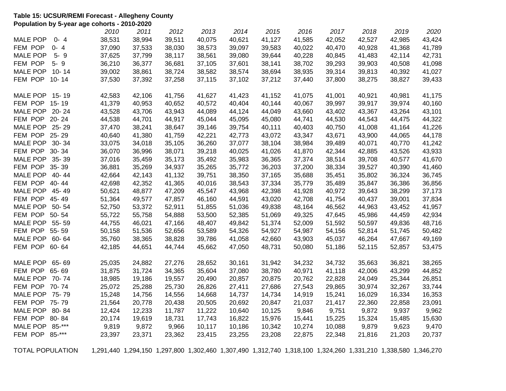#### **Table 15: UCSUR/REMI Forecast - Allegheny County Population by 5-year age cohorts - 2010-2020**

|                 |           | 2010   | 2011   | 2012   | 2013   | 2014   | 2015   | 2016   | 2017   | 2018   | 2019   | 2020   |
|-----------------|-----------|--------|--------|--------|--------|--------|--------|--------|--------|--------|--------|--------|
| <b>MALE POP</b> | $0 - 4$   | 38,531 | 38,994 | 39,511 | 40,075 | 40,621 | 41,127 | 41,585 | 42,052 | 42,527 | 42,985 | 43,424 |
| FEM POP         | $0 - 4$   | 37,090 | 37,533 | 38,030 | 38,573 | 39,097 | 39,583 | 40,022 | 40,470 | 40,928 | 41,368 | 41,789 |
| <b>MALE POP</b> | $5 - 9$   | 37,625 | 37,799 | 38,117 | 38,561 | 39,080 | 39,644 | 40,228 | 40,845 | 41,483 | 42,114 | 42,731 |
| FEM POP         | $5 - 9$   | 36,210 | 36,377 | 36,681 | 37,105 | 37,601 | 38,141 | 38,702 | 39,293 | 39,903 | 40,508 | 41,098 |
| <b>MALE POP</b> | $10 - 14$ | 39,002 | 38,861 | 38,724 | 38,582 | 38,574 | 38,694 | 38,935 | 39,314 | 39,813 | 40,392 | 41,027 |
| FEM POP         | $10 - 14$ | 37,530 | 37,392 | 37,258 | 37,115 | 37,102 | 37,212 | 37,440 | 37,800 | 38,275 | 38,827 | 39,433 |
| MALE POP 15-19  |           | 42,583 | 42,106 | 41,756 | 41,627 | 41,423 | 41,152 | 41,075 | 41,001 | 40,921 | 40,981 | 41,175 |
| FEM POP 15-19   |           | 41,379 | 40,953 | 40,652 | 40,572 | 40,404 | 40,144 | 40,067 | 39,997 | 39,917 | 39,974 | 40,160 |
| <b>MALE POP</b> | $20 - 24$ | 43,528 | 43,706 | 43,943 | 44,089 | 44,124 | 44,049 | 43,660 | 43,402 | 43,367 | 43,264 | 43,101 |
| FEM POP 20-24   |           | 44,538 | 44,701 | 44,917 | 45,044 | 45,095 | 45,080 | 44,741 | 44,530 | 44,543 | 44,475 | 44,322 |
| MALE POP 25-29  |           | 37,470 | 38,241 | 38,647 | 39,146 | 39,754 | 40,111 | 40,403 | 40,750 | 41,008 | 41,164 | 41,226 |
| FEM POP 25-29   |           | 40,640 | 41,380 | 41,759 | 42,221 | 42,773 | 43,072 | 43,347 | 43,671 | 43,900 | 44,065 | 44,178 |
| <b>MALE POP</b> | $30 - 34$ | 33,075 | 34,018 | 35,105 | 36,260 | 37,077 | 38,104 | 38,984 | 39,489 | 40,071 | 40,770 | 41,242 |
| FEM POP 30-34   |           | 36,070 | 36,996 | 38,071 | 39,218 | 40,025 | 41,026 | 41,870 | 42,344 | 42,885 | 43,526 | 43,933 |
| MALE POP 35-39  |           | 37,016 | 35,459 | 35,173 | 35,492 | 35,983 | 36,365 | 37,374 | 38,514 | 39,708 | 40,577 | 41,670 |
| FEM POP 35-39   |           | 36,881 | 35,269 | 34,937 | 35,265 | 35,772 | 36,203 | 37,200 | 38,334 | 39,527 | 40,390 | 41,460 |
| MALE POP 40-44  |           | 42,664 | 42,143 | 41,132 | 39,751 | 38,350 | 37,165 | 35,688 | 35,451 | 35,802 | 36,324 | 36,745 |
| FEM POP 40-44   |           | 42,698 | 42,352 | 41,365 | 40,016 | 38,543 | 37,334 | 35,779 | 35,489 | 35,847 | 36,386 | 36,856 |
| MALE POP        | 45-49     | 50,621 | 48,877 | 47,209 | 45,547 | 43,968 | 42,398 | 41,928 | 40,972 | 39,643 | 38,299 | 37,173 |
| FEM POP 45-49   |           | 51,364 | 49,577 | 47,857 | 46,160 | 44,591 | 43,020 | 42,708 | 41,754 | 40,437 | 39,001 | 37,834 |
| MALE POP        | 50-54     | 52,750 | 53,372 | 52,911 | 51,855 | 51,036 | 49,838 | 48,164 | 46,562 | 44,963 | 43,452 | 41,957 |
| FEM POP 50-54   |           | 55,722 | 55,758 | 54,888 | 53,500 | 52,385 | 51,069 | 49,325 | 47,645 | 45,986 | 44,459 | 42,934 |
| MALE POP        | 55-59     | 44,755 | 46,021 | 47,166 | 48,407 | 49,842 | 51,374 | 52,009 | 51,592 | 50,597 | 49,836 | 48,716 |
| FEM POP         | 55-59     | 50,158 | 51,536 | 52,656 | 53,589 | 54,326 | 54,927 | 54,987 | 54,156 | 52,814 | 51,745 | 50,482 |
| MALE POP        | 60- 64    | 35,760 | 38,365 | 38,828 | 39,786 | 41,058 | 42,660 | 43,903 | 45,037 | 46,264 | 47,667 | 49,169 |
| FEM POP         | 60-64     | 42,185 | 44,651 | 44,744 | 45,662 | 47,050 | 48,731 | 50,080 | 51,186 | 52,115 | 52,857 | 53,475 |
| MALE POP        | 65-69     | 25,035 | 24,882 | 27,276 | 28,652 | 30,161 | 31,942 | 34,232 | 34,732 | 35,663 | 36,821 | 38,265 |
| FEM POP         | 65-69     | 31,875 | 31,724 | 34,365 | 35,604 | 37,080 | 38,780 | 40,971 | 41,118 | 42,006 | 43,299 | 44,852 |
| MALE POP        | 70-74     | 18,985 | 19,186 | 19,557 | 20,490 | 20,857 | 20,875 | 20,762 | 22,828 | 24,049 | 25,344 | 26,851 |
| FEM POP 70-74   |           | 25,072 | 25,288 | 25,730 | 26,826 | 27,411 | 27,686 | 27,543 | 29,865 | 30,974 | 32,267 | 33,744 |
| MALE POP 75-79  |           | 15,248 | 14,756 | 14,556 | 14,668 | 14,737 | 14,734 | 14,919 | 15,241 | 16,029 | 16,334 | 16,353 |
| FEM POP 75-79   |           | 21,564 | 20,778 | 20,438 | 20,505 | 20,692 | 20,847 | 21,037 | 21,417 | 22,360 | 22,858 | 23,091 |
| <b>MALE POP</b> | 80-84     | 12,424 | 12,233 | 11,787 | 11,222 | 10,640 | 10,125 | 9,846  | 9,751  | 9,872  | 9,937  | 9,962  |
| FEM POP         | 80-84     | 20,174 | 19,619 | 18,731 | 17,743 | 16,822 | 15,976 | 15,441 | 15,225 | 15,324 | 15,485 | 15,630 |
| <b>MALE POP</b> | $85 -***$ | 9,819  | 9,872  | 9,966  | 10,117 | 10,186 | 10,342 | 10,274 | 10,088 | 9,879  | 9,623  | 9,470  |
| FEM POP 85-***  |           | 23,397 | 23,371 | 23,362 | 23,415 | 23,255 | 23,208 | 22,875 | 22,348 | 21,816 | 21,203 | 20,737 |
|                 |           |        |        |        |        |        |        |        |        |        |        |        |

TOTAL POPULATION 1,291,440 1,294,150 1,297,800 1,302,460 1,307,490 1,312,740 1,318,100 1,324,260 1,331,210 1,338,580 1,346,270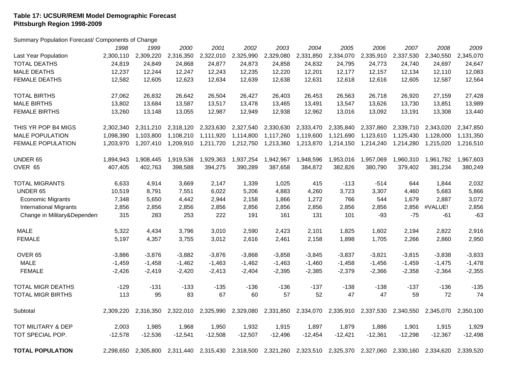## **Table 17: UCSUR/REMI Model Demographic Forecast Pittsburgh Region 1998-2009**

Summary Population Forecast/ Components of Change

|                               | 1998      | 1999      | 2000      | 2001      | 2002                | 2003      | 2004      | 2005                          | 2006      | 2007      | 2008      | 2009      |
|-------------------------------|-----------|-----------|-----------|-----------|---------------------|-----------|-----------|-------------------------------|-----------|-----------|-----------|-----------|
| Last Year Population          | 2,300,110 | 2,309,220 | 2,316,350 | 2,322,010 | 2,325,990           | 2,329,080 | 2,331,850 | 2,334,070                     | 2,335,910 | 2,337,530 | 2,340,550 | 2,345,070 |
| <b>TOTAL DEATHS</b>           | 24,819    | 24,849    | 24,868    | 24,877    | 24,873              | 24,858    | 24,832    | 24,795                        | 24,773    | 24,740    | 24,697    | 24,647    |
| <b>MALE DEATHS</b>            | 12,237    | 12,244    | 12,247    | 12,243    | 12,235              | 12,220    | 12,201    | 12,177                        | 12,157    | 12,134    | 12,110    | 12,083    |
| <b>FEMALE DEATHS</b>          | 12,582    | 12,605    | 12,623    | 12,634    | 12,639              | 12,638    | 12,631    | 12,618                        | 12,616    | 12,605    | 12,587    | 12,564    |
| <b>TOTAL BIRTHS</b>           | 27,062    | 26,832    | 26,642    | 26,504    | 26,427              | 26,403    | 26,453    | 26,563                        | 26,718    | 26,920    | 27,159    | 27,428    |
| <b>MALE BIRTHS</b>            | 13,802    | 13,684    | 13,587    | 13,517    | 13,478              | 13,465    | 13,491    | 13,547                        | 13,626    | 13,730    | 13,851    | 13,989    |
| <b>FEMALE BIRTHS</b>          | 13,260    | 13,148    | 13,055    | 12,987    | 12,949              | 12,938    | 12,962    | 13,016                        | 13,092    | 13,191    | 13,308    | 13,440    |
| THIS YR POP B4 MIGS           | 2,302,340 | 2,311,210 | 2,318,120 | 2,323,630 | 2,327,540           | 2,330,630 | 2,333,470 | 2,335,840                     | 2,337,860 | 2,339,710 | 2,343,020 | 2,347,850 |
| <b>MALE POPULATION</b>        | 1,098,390 | 1,103,800 | 1,108,210 | 1,111,920 | 1,114,800           | 1,117,260 | 1,119,600 | 1,121,690                     | 1,123,610 | 1,125,430 | 1,128,000 | 1,131,350 |
| <b>FEMALE POPULATION</b>      | 1,203,970 | 1,207,410 | 1,209,910 | 1,211,720 | 1,212,750           | 1,213,360 | 1,213,870 | 1,214,150                     | 1,214,240 | 1,214,280 | 1,215,020 | 1,216,510 |
| UNDER 65                      | 1,894,943 | 1,908,445 | 1,919,536 | 1,929,363 | 1,937,254           | 1,942,967 | 1,948,596 | 1,953,016                     | 1,957,069 | 1,960,310 | 1,961,782 | 1,967,603 |
| OVER 65                       | 407,405   | 402,763   | 398,588   | 394,275   | 390,289             | 387,658   | 384,872   | 382,826                       | 380,790   | 379,402   | 381,234   | 380,249   |
| <b>TOTAL MIGRANTS</b>         | 6,633     | 4,914     | 3,669     | 2,147     | 1,339               | 1,025     | 415       | -113                          | $-514$    | 644       | 1,844     | 2,032     |
| UNDER 65                      | 10,519    | 8,791     | 7,551     | 6,022     | 5,206               | 4,883     | 4,260     | 3,723                         | 3,307     | 4,460     | 5,683     | 5,866     |
| <b>Economic Migrants</b>      | 7,348     | 5,650     | 4,442     | 2,944     | 2,158               | 1,866     | 1,272     | 766                           | 544       | 1,679     | 2,887     | 3,072     |
| <b>International Migrants</b> | 2,856     | 2,856     | 2,856     | 2,856     | 2,856               | 2,856     | 2,856     | 2,856                         | 2,856     | 2,856     | #VALUE!   | 2,856     |
| Change in Military&Dependent  | 315       | 283       | 253       | 222       | 191                 | 161       | 131       | 101                           | $-93$     | $-75$     | $-61$     | $-63$     |
| <b>MALE</b>                   | 5,322     | 4,434     | 3,796     | 3,010     | 2,590               | 2,423     | 2,101     | 1,825                         | 1,602     | 2,194     | 2,822     | 2,916     |
| <b>FEMALE</b>                 | 5,197     | 4,357     | 3,755     | 3,012     | 2,616               | 2,461     | 2,158     | 1,898                         | 1,705     | 2,266     | 2,860     | 2,950     |
| OVER <sub>65</sub>            | $-3,886$  | $-3,876$  | $-3,882$  | $-3,876$  | $-3,868$            | $-3,858$  | $-3,845$  | $-3,837$                      | $-3,821$  | $-3,815$  | $-3,838$  | $-3,833$  |
| <b>MALE</b>                   | $-1,459$  | $-1,458$  | $-1,462$  | $-1,463$  | $-1,462$            | $-1,463$  | $-1,460$  | $-1,458$                      | $-1,456$  | $-1,459$  | $-1,475$  | $-1,478$  |
| <b>FEMALE</b>                 | $-2,426$  | $-2,419$  | $-2,420$  | $-2,413$  | $-2,404$            | $-2,395$  | $-2,385$  | $-2,379$                      | $-2,366$  | $-2,358$  | $-2,364$  | $-2,355$  |
| <b>TOTAL MIGR DEATHS</b>      | $-129$    | $-131$    | $-133$    | $-135$    | $-136$              | $-136$    | $-137$    | $-138$                        | $-138$    | $-137$    | $-136$    | $-135$    |
| <b>TOTAL MIGR BIRTHS</b>      | 113       | 95        | 83        | 67        | 60                  | 57        | 52        | 47                            | 47        | 59        | 72        | 74        |
| Subtotal                      | 2,309,220 | 2,316,350 | 2,322,010 | 2,325,990 | 2,329,080           | 2,331,850 | 2,334,070 | 2,335,910                     | 2,337,530 | 2,340,550 | 2,345,070 | 2,350,100 |
| TOT MILITARY & DEP            | 2,003     | 1,985     | 1,968     | 1,950     | 1,932               | 1,915     | 1,897     | 1,879                         | 1,886     | 1,901     | 1,915     | 1,929     |
| TOT SPECIAL POP.              | $-12,578$ | $-12,536$ | $-12,541$ | $-12,508$ | $-12,507$           | $-12,496$ | $-12,454$ | $-12,421$                     | $-12,361$ | $-12,298$ | $-12,367$ | $-12,498$ |
| <b>TOTAL POPULATION</b>       | 2,298,650 | 2,305,800 | 2,311,440 |           | 2,315,430 2,318,500 | 2,321,260 |           | 2,323,510 2,325,370 2,327,060 |           | 2,330,160 | 2,334,620 | 2,339,520 |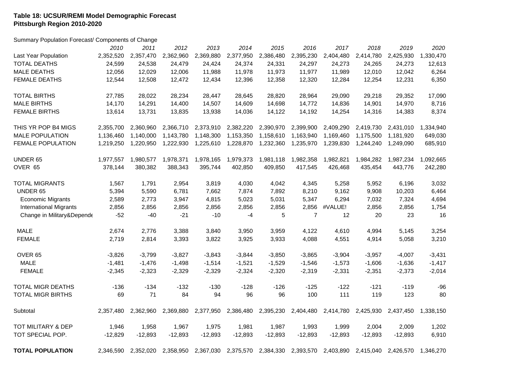#### **Table 18: UCSUR/REMI Model Demographic Forecast Pittsburgh Region 2010-2020**

Summary Population Forecast/ Components of Change

|                               | 2010      | 2011      | 2012      | 2013      | 2014      | 2015      | 2016      | 2017                | 2018      | 2019      | 2020      |
|-------------------------------|-----------|-----------|-----------|-----------|-----------|-----------|-----------|---------------------|-----------|-----------|-----------|
| Last Year Population          | 2,352,520 | 2,357,470 | 2,362,960 | 2,369,880 | 2,377,950 | 2,386,480 | 2,395,230 | 2,404,480           | 2,414,780 | 2,425,930 | 1,330,470 |
| <b>TOTAL DEATHS</b>           | 24,599    | 24,538    | 24,479    | 24,424    | 24,374    | 24,331    | 24,297    | 24,273              | 24,265    | 24,273    | 12,613    |
| <b>MALE DEATHS</b>            | 12,056    | 12,029    | 12,006    | 11,988    | 11,978    | 11,973    | 11,977    | 11,989              | 12,010    | 12,042    | 6,264     |
| <b>FEMALE DEATHS</b>          | 12,544    | 12,508    | 12,472    | 12,434    | 12,396    | 12,358    | 12,320    | 12,284              | 12,254    | 12,231    | 6,350     |
| <b>TOTAL BIRTHS</b>           | 27,785    | 28,022    | 28,234    | 28,447    | 28,645    | 28,820    | 28,964    | 29,090              | 29,218    | 29,352    | 17,090    |
| <b>MALE BIRTHS</b>            | 14,170    | 14,291    | 14,400    | 14,507    | 14,609    | 14,698    | 14,772    | 14,836              | 14,901    | 14,970    | 8,716     |
| <b>FEMALE BIRTHS</b>          | 13,614    | 13,731    | 13,835    | 13,938    | 14,036    | 14,122    | 14,192    | 14,254              | 14,316    | 14,383    | 8,374     |
| THIS YR POP B4 MIGS           | 2,355,700 | 2,360,960 | 2,366,710 | 2,373,910 | 2,382,220 | 2,390,970 | 2,399,900 | 2,409,290           | 2,419,730 | 2,431,010 | 1,334,940 |
| <b>MALE POPULATION</b>        | 1,136,460 | 1,140,000 | 1,143,780 | 1,148,300 | 1,153,350 | 1,158,610 | 1,163,940 | 1,169,460           | 1,175,500 | 1,181,920 | 649,030   |
| <b>FEMALE POPULATION</b>      | 1,219,250 | 1,220,950 | 1,222,930 | 1,225,610 | 1,228,870 | 1,232,360 | 1,235,970 | 1,239,830           | 1,244,240 | 1,249,090 | 685,910   |
| <b>UNDER 65</b>               | 1,977,557 | 1,980,577 | 1,978,371 | 1,978,165 | 1,979,373 | 1,981,118 | 1,982,358 | 1,982,821           | 1,984,282 | 1,987,234 | 1,092,665 |
| OVER 65                       | 378,144   | 380,382   | 388,343   | 395,744   | 402,850   | 409,850   | 417,545   | 426,468             | 435,454   | 443,776   | 242,280   |
| <b>TOTAL MIGRANTS</b>         | 1,567     | 1,791     | 2,954     | 3,819     | 4,030     | 4,042     | 4,345     | 5,258               | 5,952     | 6,196     | 3,032     |
| UNDER 65                      | 5,394     | 5,590     | 6,781     | 7,662     | 7,874     | 7,892     | 8,210     | 9,162               | 9,908     | 10,203    | 6,464     |
| <b>Economic Migrants</b>      | 2,589     | 2,773     | 3,947     | 4,815     | 5,023     | 5,031     | 5,347     | 6,294               | 7,032     | 7,324     | 4,694     |
| <b>International Migrants</b> | 2,856     | 2,856     | 2,856     | 2,856     | 2,856     | 2,856     |           | 2,856 #VALUE!       | 2,856     | 2,856     | 1,754     |
| Change in Military&Depende    | $-52$     | $-40$     | $-21$     | $-10$     | -4        | 5         | 7         | 12                  | 20        | 23        | 16        |
| <b>MALE</b>                   | 2,674     | 2,776     | 3,388     | 3,840     | 3,950     | 3,959     | 4,122     | 4,610               | 4,994     | 5,145     | 3,254     |
| <b>FEMALE</b>                 | 2,719     | 2,814     | 3,393     | 3,822     | 3,925     | 3,933     | 4,088     | 4,551               | 4,914     | 5,058     | 3,210     |
| OVER <sub>65</sub>            | $-3,826$  | $-3,799$  | $-3,827$  | $-3,843$  | $-3,844$  | $-3,850$  | $-3,865$  | $-3,904$            | $-3,957$  | $-4,007$  | $-3,431$  |
| <b>MALE</b>                   | $-1,481$  | $-1,476$  | $-1,498$  | $-1,514$  | $-1,521$  | $-1,529$  | $-1,546$  | $-1,573$            | $-1,606$  | $-1,636$  | $-1,417$  |
| <b>FEMALE</b>                 | $-2,345$  | $-2,323$  | $-2,329$  | $-2,329$  | $-2,324$  | $-2,320$  | $-2,319$  | $-2,331$            | $-2,351$  | $-2,373$  | $-2,014$  |
| <b>TOTAL MIGR DEATHS</b>      | $-136$    | $-134$    | $-132$    | $-130$    | $-128$    | $-126$    | $-125$    | $-122$              | $-121$    | $-119$    | $-96$     |
| <b>TOTAL MIGR BIRTHS</b>      | 69        | 71        | 84        | 94        | 96        | 96        | 100       | 111                 | 119       | 123       | 80        |
| Subtotal                      | 2,357,480 | 2,362,960 | 2,369,880 | 2,377,950 | 2,386,480 | 2,395,230 |           | 2,404,480 2,414,780 | 2,425,930 | 2,437,450 | 1,338,150 |
| TOT MILITARY & DEP            | 1,946     | 1,958     | 1,967     | 1,975     | 1,981     | 1,987     | 1,993     | 1,999               | 2,004     | 2,009     | 1,202     |
| TOT SPECIAL POP.              | $-12,829$ | $-12,893$ | $-12,893$ | $-12,893$ | $-12,893$ | $-12,893$ | $-12,893$ | $-12,893$           | $-12,893$ | $-12,893$ | 6,910     |
| <b>TOTAL POPULATION</b>       | 2,346,590 | 2,352,020 | 2,358,950 | 2,367,030 | 2,375,570 | 2,384,330 | 2,393,570 | 2,403,890           | 2,415,040 | 2,426,570 | 1,346,270 |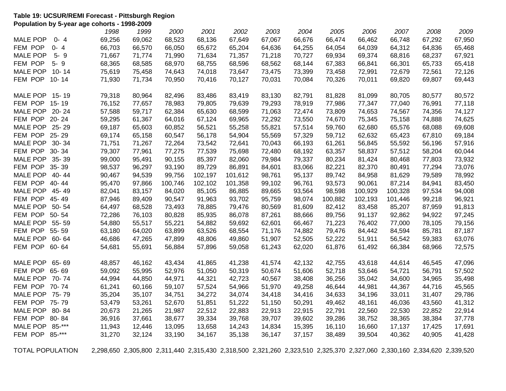#### **Table 19: UCSUR/REMI Forecast - Pittsburgh Region Population by 5-year age cohorts - 1998-2009**

|                 |           | 1998   | 1999   | 2000    | 2001    | 2002    | 2003   | 2004   | 2005    | 2006    | 2007    | 2008   | 2009   |
|-----------------|-----------|--------|--------|---------|---------|---------|--------|--------|---------|---------|---------|--------|--------|
| <b>MALE POP</b> | $0 - 4$   | 69,256 | 69,062 | 68,523  | 68,136  | 67,649  | 67,067 | 66,676 | 66,474  | 66,462  | 66,748  | 67,292 | 67,950 |
| FEM POP         | $0 - 4$   | 66,703 | 66,570 | 66,050  | 65,672  | 65,204  | 64,636 | 64,255 | 64,054  | 64,039  | 64,312  | 64,836 | 65,468 |
| <b>MALE POP</b> | $5 - 9$   | 71,667 | 71,774 | 71,990  | 71,634  | 71,357  | 71,218 | 70,727 | 69,934  | 69,374  | 68,816  | 68,237 | 67,921 |
| FEM POP         | $5 - 9$   | 68,365 | 68,585 | 68,970  | 68,755  | 68,596  | 68,562 | 68,144 | 67,383  | 66,841  | 66,301  | 65,733 | 65,418 |
| <b>MALE POP</b> | $10 - 14$ | 75,619 | 75,458 | 74,643  | 74,018  | 73,647  | 73,475 | 73,399 | 73,458  | 72,991  | 72,679  | 72,561 | 72,126 |
| FEM POP         | $10 - 14$ | 71,930 | 71,734 | 70,950  | 70,416  | 70,127  | 70,031 | 70,084 | 70,326  | 70,011  | 69,820  | 69,807 | 69,443 |
|                 |           |        |        |         |         |         |        |        |         |         |         |        |        |
| <b>MALE POP</b> | 15-19     | 79,318 | 80,964 | 82,496  | 83,486  | 83,419  | 83,130 | 82,791 | 81,828  | 81,099  | 80,705  | 80,577 | 80,572 |
| FEM POP 15-19   |           | 76,152 | 77,657 | 78,983  | 79,805  | 79,639  | 79,293 | 78,919 | 77,986  | 77,347  | 77,040  | 76,991 | 77,118 |
| MALE POP 20-24  |           | 57,588 | 59,717 | 62,384  | 65,630  | 68,599  | 71,063 | 72,474 | 73,809  | 74,653  | 74,567  | 74,356 | 74,127 |
| FEM POP         | $20 - 24$ | 59,295 | 61,367 | 64,016  | 67,124  | 69,965  | 72,292 | 73,550 | 74,670  | 75,345  | 75,158  | 74,888 | 74,625 |
| MALE POP        | 25-29     | 69,187 | 65,603 | 60,852  | 56,521  | 55,258  | 55,821 | 57,514 | 59,760  | 62,680  | 65,576  | 68,088 | 69,608 |
| FEM POP         | 25-29     | 69,174 | 65,158 | 60,547  | 56,178  | 54,904  | 55,569 | 57,329 | 59,712  | 62,632  | 65,423  | 67,810 | 69,184 |
| <b>MALE POP</b> | $30 - 34$ | 71,751 | 71,267 | 72,264  | 73,542  | 72,641  | 70,043 | 66,193 | 61,261  | 56,845  | 55,592  | 56,196 | 57,916 |
| FEM POP         | 30-34     | 79,307 | 77,961 | 77,275  | 77,539  | 75,698  | 72,480 | 68,192 | 63,357  | 58,837  | 57,512  | 58,204 | 60,044 |
| <b>MALE POP</b> | 35-39     | 99,000 | 95,491 | 90,155  | 85,397  | 82,060  | 79,984 | 79,337 | 80,234  | 81,424  | 80,468  | 77,803 | 73,932 |
| FEM POP         | 35-39     | 98,537 | 96,297 | 93,190  | 89,729  | 86,891  | 84,601 | 83,066 | 82,221  | 82,370  | 80,491  | 77,294 | 73,076 |
| <b>MALE POP</b> | 40-44     | 90,467 | 94,539 | 99,756  | 102,197 | 101,612 | 98,761 | 95,137 | 89,742  | 84,958  | 81,629  | 79,589 | 78,992 |
| FEM POP 40-44   |           | 95,470 | 97,866 | 100,746 | 102,102 | 101,358 | 99,102 | 96,761 | 93,573  | 90,061  | 87,214  | 84,941 | 83,450 |
| MALE POP 45-49  |           | 82,041 | 83,157 | 84,020  | 85,105  | 86,885  | 89,665 | 93,564 | 98,598  | 100,929 | 100,328 | 97,534 | 94,008 |
| FEM POP 45-49   |           | 87,946 | 89,409 | 90,547  | 91,963  | 93,702  | 95,759 | 98,074 | 100,882 | 102,193 | 101,446 | 99,218 | 96,921 |
| <b>MALE POP</b> | $50 - 54$ | 64,497 | 68,528 | 73,493  | 78,885  | 79,476  | 80,569 | 81,609 | 82,412  | 83,458  | 85,207  | 87,959 | 91,813 |
| FEM POP         | $50 - 54$ | 72,286 | 76,103 | 80,828  | 85,935  | 86,078  | 87,261 | 88,666 | 89,756  | 91,137  | 92,862  | 94,922 | 97,245 |
| <b>MALE POP</b> | 55-59     | 54,880 | 55,517 | 55,221  | 54,882  | 59,692  | 62,601 | 66,467 | 71,223  | 76,402  | 77,000  | 78,105 | 79,156 |
| FEM POP         | 55-59     | 63,180 | 64,020 | 63,899  | 63,526  | 68,554  | 71,176 | 74,882 | 79,476  | 84,442  | 84,594  | 85,781 | 87,187 |
| <b>MALE POP</b> | 60-64     | 46,686 | 47,265 | 47,899  | 48,806  | 49,860  | 51,907 | 52,505 | 52,222  | 51,911  | 56,542  | 59,383 | 63,076 |
| FEM POP         | 60-64     | 54,681 | 55,691 | 56,884  | 57,896  | 59,058  | 61,243 | 62,020 | 61,876  | 61,492  | 66,384  | 68,966 | 72,575 |
|                 |           |        |        |         |         |         |        |        |         |         |         |        |        |
| <b>MALE POP</b> | 65-69     | 48,857 | 46,162 | 43,434  | 41,865  | 41,238  | 41,574 | 42,132 | 42,755  | 43,618  | 44,614  | 46,545 | 47,096 |
| FEM POP         | 65-69     | 59,092 | 55,995 | 52,976  | 51,050  | 50,319  | 50,674 | 51,606 | 52,718  | 53,646  | 54,721  | 56,791 | 57,502 |
| MALE POP 70-74  |           | 44,994 | 44,850 | 44,971  | 44,321  | 42,723  | 40,567 | 38,408 | 36,256  | 35,042  | 34,600  | 34,965 | 35,498 |
| FEM POP 70-74   |           | 61,241 | 60,166 | 59,107  | 57,524  | 54,966  | 51,970 | 49,258 | 46,644  | 44,981  | 44,367  | 44,716 | 45,565 |
| MALE POP 75-79  |           | 35,204 | 35,107 | 34,751  | 34,272  | 34,074  | 34,418 | 34,416 | 34,633  | 34,196  | 33,011  | 31,407 | 29,786 |
| FEM POP 75-79   |           | 53,479 | 53,261 | 52,670  | 51,851  | 51,222  | 51,150 | 50,291 | 49,462  | 48,161  | 46,036  | 43,560 | 41,312 |
| <b>MALE POP</b> | 80-84     | 20,673 | 21,265 | 21,987  | 22,512  | 22,883  | 22,913 | 22,915 | 22,791  | 22,560  | 22,530  | 22,852 | 22,914 |
| FEM POP         | 80-84     | 36,916 | 37,661 | 38,677  | 39,334  | 39,768  | 39,707 | 39,602 | 39,286  | 38,752  | 38,365  | 38,384 | 37,778 |
| <b>MALE POP</b> | $85 -***$ | 11,943 | 12,446 | 13,095  | 13,658  | 14,243  | 14,834 | 15,395 | 16,110  | 16,660  | 17,137  | 17,425 | 17,691 |
| FEM POP         | $85 -***$ | 31,270 | 32,124 | 33,190  | 34,167  | 35,138  | 36,147 | 37,157 | 38,489  | 39,504  | 40,362  | 40,905 | 41,428 |
|                 |           |        |        |         |         |         |        |        |         |         |         |        |        |

TOTAL POPULATION 2,298,650 2,305,800 2,311,440 2,315,430 2,318,500 2,321,260 2,323,510 2,325,370 2,327,060 2,330,160 2,334,620 2,339,520